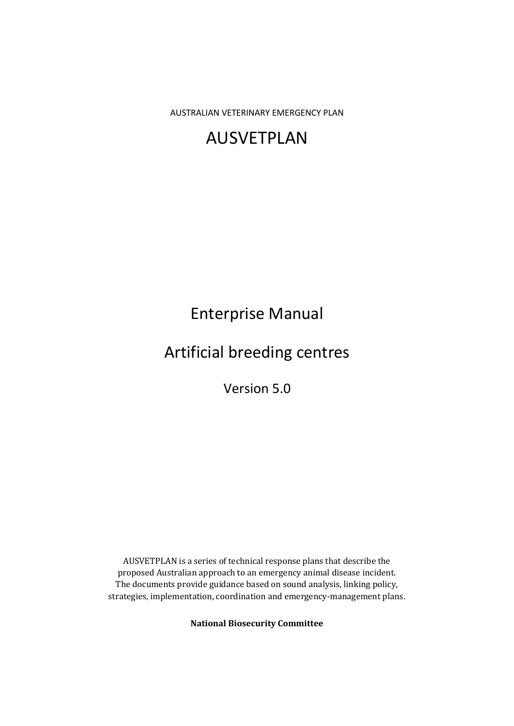AUSTRALIAN VETERINARY EMERGENCY PLAN

# AUSVETPLAN

Enterprise Manual

Artificial breeding centres

Version 5.0

AUSVETPLAN is a series of technical response plans that describe the proposed Australian approach to an emergency animal disease incident. The documents provide guidance based on sound analysis, linking policy, strategies, implementation, coordination and emergency-management plans.

**National Biosecurity Committee**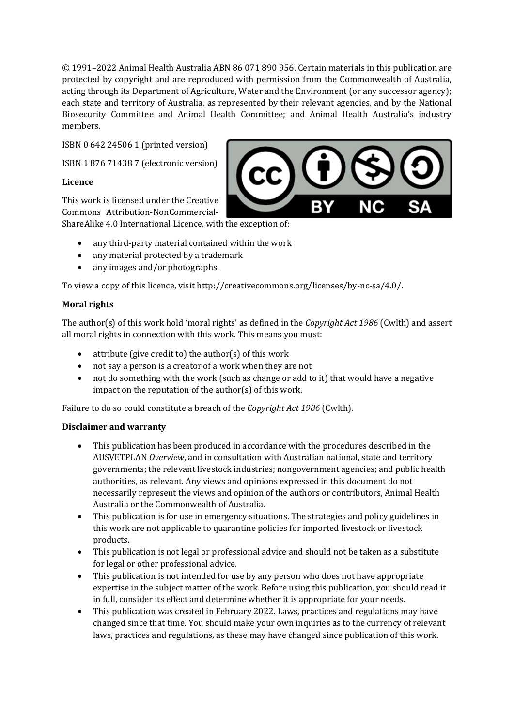© 1991–2022 Animal Health Australia ABN 86 071 890 956. Certain materials in this publication are protected by copyright and are reproduced with permission from the Commonwealth of Australia, acting through its Department of Agriculture, Water and the Environment (or any successor agency); each state and territory of Australia, as represented by their relevant agencies, and by the National Biosecurity Committee and Animal Health Committee; and Animal Health Australia's industry members.

ISBN 0 642 24506 1 (printed version)

ISBN 1 876 71438 7 (electronic version)

### **Licence**

This work is licensed under the Creative Commons Attribution-NonCommercial-ShareAlike 4.0 International Licence, with the exception of:



- any third-party material contained within the work
- any material protected by a trademark
- any images and/or photographs.

To view a copy of this licence, visit http://creativecommons.org/licenses/by-nc-sa/4.0/.

### **Moral rights**

The author(s) of this work hold 'moral rights' as defined in the *Copyright Act 1986* (Cwlth) and assert all moral rights in connection with this work. This means you must:

- attribute (give credit to) the author(s) of this work
- not say a person is a creator of a work when they are not
- not do something with the work (such as change or add to it) that would have a negative impact on the reputation of the author(s) of this work.

Failure to do so could constitute a breach of the *Copyright Act 1986* (Cwlth).

### **Disclaimer and warranty**

- This publication has been produced in accordance with the procedures described in the AUSVETPLAN *Overview*, and in consultation with Australian national, state and territory governments; the relevant livestock industries; nongovernment agencies; and public health authorities, as relevant. Any views and opinions expressed in this document do not necessarily represent the views and opinion of the authors or contributors, Animal Health Australia or the Commonwealth of Australia.
- This publication is for use in emergency situations. The strategies and policy guidelines in this work are not applicable to quarantine policies for imported livestock or livestock products.
- This publication is not legal or professional advice and should not be taken as a substitute for legal or other professional advice.
- This publication is not intended for use by any person who does not have appropriate expertise in the subject matter of the work. Before using this publication, you should read it in full, consider its effect and determine whether it is appropriate for your needs.
- This publication was created in February 2022. Laws, practices and regulations may have changed since that time. You should make your own inquiries as to the currency of relevant laws, practices and regulations, as these may have changed since publication of this work.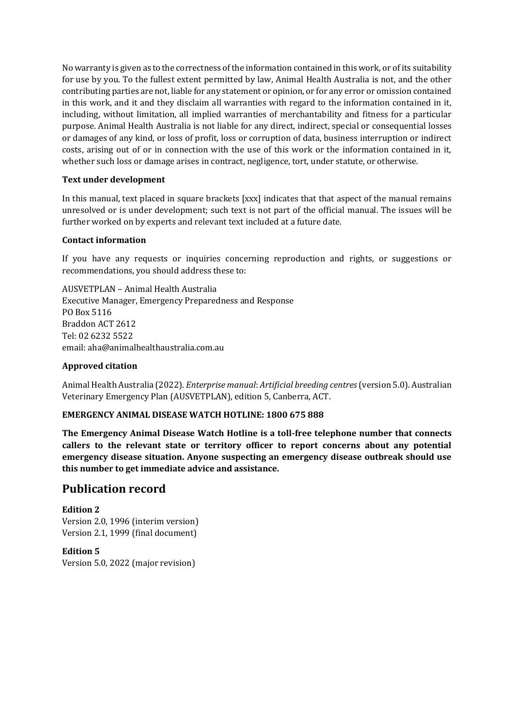No warranty is given as to the correctness of the information contained in this work, or of its suitability for use by you. To the fullest extent permitted by law, Animal Health Australia is not, and the other contributing parties are not, liable for any statement or opinion, or for any error or omission contained in this work, and it and they disclaim all warranties with regard to the information contained in it, including, without limitation, all implied warranties of merchantability and fitness for a particular purpose. Animal Health Australia is not liable for any direct, indirect, special or consequential losses or damages of any kind, or loss of profit, loss or corruption of data, business interruption or indirect costs, arising out of or in connection with the use of this work or the information contained in it, whether such loss or damage arises in contract, negligence, tort, under statute, or otherwise.

#### **Text under development**

In this manual, text placed in square brackets [xxx] indicates that that aspect of the manual remains unresolved or is under development; such text is not part of the official manual. The issues will be further worked on by experts and relevant text included at a future date.

#### **Contact information**

If you have any requests or inquiries concerning reproduction and rights, or suggestions or recommendations, you should address these to:

AUSVETPLAN – Animal Health Australia Executive Manager, Emergency Preparedness and Response PO Box 5116 Braddon ACT 2612 Tel: 02 6232 5522 email: aha@animalhealthaustralia.com.au

#### **Approved citation**

Animal Health Australia (2022). *Enterprise manual*: *Artificial breeding centres*(version 5.0). Australian Veterinary Emergency Plan (AUSVETPLAN), edition 5, Canberra, ACT.

### **EMERGENCY ANIMAL DISEASE WATCH HOTLINE: 1800 675 888**

**The Emergency Animal Disease Watch Hotline is a toll-free telephone number that connects callers to the relevant state or territory officer to report concerns about any potential emergency disease situation. Anyone suspecting an emergency disease outbreak should use this number to get immediate advice and assistance.**

### **Publication record**

**Edition 2** Version 2.0, 1996 (interim version) Version 2.1, 1999 (final document)

**Edition 5** Version 5.0, 2022 (major revision)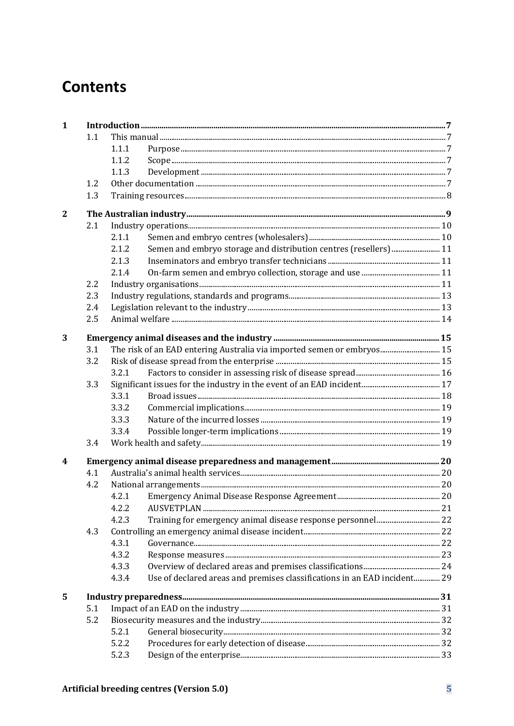# **Contents**

| $\mathbf{1}$ |     |       |                                                                          |  |
|--------------|-----|-------|--------------------------------------------------------------------------|--|
|              | 1.1 |       |                                                                          |  |
|              |     | 1.1.1 |                                                                          |  |
|              |     | 1.1.2 |                                                                          |  |
|              |     | 1.1.3 |                                                                          |  |
|              | 1.2 |       |                                                                          |  |
|              | 1.3 |       |                                                                          |  |
| $\mathbf{2}$ |     |       |                                                                          |  |
|              | 2.1 |       |                                                                          |  |
|              |     | 2.1.1 |                                                                          |  |
|              |     | 2.1.2 | Semen and embryo storage and distribution centres (resellers) 11         |  |
|              |     | 2.1.3 |                                                                          |  |
|              |     | 2.1.4 |                                                                          |  |
|              | 2.2 |       |                                                                          |  |
|              | 2.3 |       |                                                                          |  |
|              | 2.4 |       |                                                                          |  |
|              | 2.5 |       |                                                                          |  |
| 3            |     |       |                                                                          |  |
|              | 3.1 |       | The risk of an EAD entering Australia via imported semen or embryos 15   |  |
|              | 3.2 |       |                                                                          |  |
|              |     | 3.2.1 |                                                                          |  |
|              | 3.3 |       |                                                                          |  |
|              |     | 3.3.1 |                                                                          |  |
|              |     | 3.3.2 |                                                                          |  |
|              |     | 3.3.3 |                                                                          |  |
|              |     | 3.3.4 |                                                                          |  |
|              | 3.4 |       |                                                                          |  |
| 4            |     |       |                                                                          |  |
|              | 4.1 |       |                                                                          |  |
|              | 4.2 |       |                                                                          |  |
|              |     | 4.2.1 |                                                                          |  |
|              |     | 4.2.2 |                                                                          |  |
|              |     | 4.2.3 |                                                                          |  |
|              | 4.3 |       |                                                                          |  |
|              |     | 4.3.1 |                                                                          |  |
|              |     | 4.3.2 |                                                                          |  |
|              |     | 4.3.3 |                                                                          |  |
|              |     | 4.3.4 | Use of declared areas and premises classifications in an EAD incident 29 |  |
| 5            |     |       |                                                                          |  |
|              | 5.1 |       |                                                                          |  |
|              | 5.2 |       |                                                                          |  |
|              |     | 5.2.1 |                                                                          |  |
|              |     | 5.2.2 |                                                                          |  |
|              |     | 5.2.3 |                                                                          |  |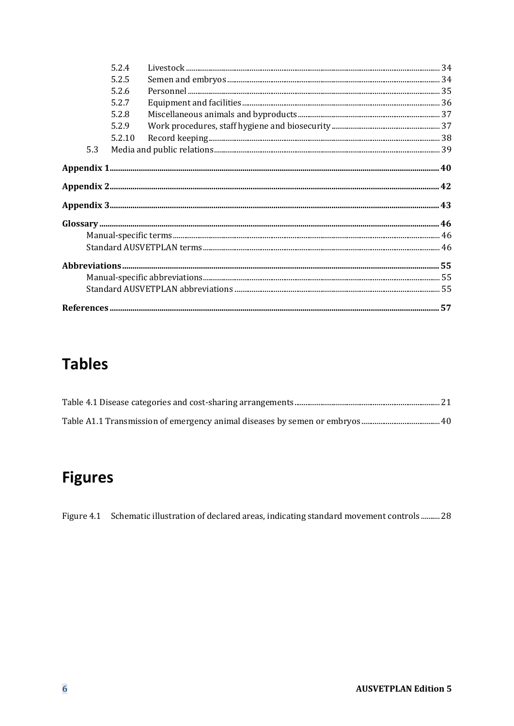|     | 5.2.4  |                                                                                                                                                                                                                                                                                                                                                                                                                                                                                                            |  |
|-----|--------|------------------------------------------------------------------------------------------------------------------------------------------------------------------------------------------------------------------------------------------------------------------------------------------------------------------------------------------------------------------------------------------------------------------------------------------------------------------------------------------------------------|--|
|     | 5.2.5  |                                                                                                                                                                                                                                                                                                                                                                                                                                                                                                            |  |
|     | 5.2.6  |                                                                                                                                                                                                                                                                                                                                                                                                                                                                                                            |  |
|     | 5.2.7  |                                                                                                                                                                                                                                                                                                                                                                                                                                                                                                            |  |
|     | 5.2.8  |                                                                                                                                                                                                                                                                                                                                                                                                                                                                                                            |  |
|     | 5.2.9  |                                                                                                                                                                                                                                                                                                                                                                                                                                                                                                            |  |
|     | 5.2.10 | $\label{eq:1} \textbf{Record keeping}\textcolor{red}{\textbf{}}\textcolor{red}{\textbf{}}\textcolor{red}{\textbf{}}\textcolor{red}{\textbf{}}\textcolor{red}{\textbf{}}\textcolor{red}{\textbf{}}\textcolor{red}{\textbf{}}\textcolor{red}{\textbf{}}\textcolor{red}{\textbf{}}\textcolor{red}{\textbf{}}\textcolor{red}{\textbf{}}\textcolor{red}{\textbf{}}\textcolor{red}{\textbf{}}\textcolor{red}{\textbf{}}\textcolor{red}{\textbf{}}\textcolor{red}{\textbf{}}\textcolor{red}{\textbf{}}\textcolor$ |  |
| 5.3 |        |                                                                                                                                                                                                                                                                                                                                                                                                                                                                                                            |  |
|     |        |                                                                                                                                                                                                                                                                                                                                                                                                                                                                                                            |  |
|     |        |                                                                                                                                                                                                                                                                                                                                                                                                                                                                                                            |  |
|     |        |                                                                                                                                                                                                                                                                                                                                                                                                                                                                                                            |  |
|     |        | $\begin{minipage}[c]{0.9\linewidth} \textbf{Glossary} \textcolor{gray}{\textbf{1:}\hspace{1:5em}} \textbf{1:}\hspace{1:5em} \textbf{2:}\hspace{1:5em} \textbf{3:}\hspace{1:5em} \textbf{4:}\hspace{1:5em} \textbf{5:}\hspace{1:5em} \textbf{6:}\hspace{1:5em} \textbf{7:}\hspace{1:5em} \textbf{6:}\hspace{1:5em} \textbf{7:}\hspace{1:5em} \textbf{8:}\hspace{1:5em} \textbf{1:}\hspace{1:5em} \textbf{1:}\hspace{1$                                                                                      |  |
|     |        |                                                                                                                                                                                                                                                                                                                                                                                                                                                                                                            |  |
|     |        |                                                                                                                                                                                                                                                                                                                                                                                                                                                                                                            |  |
|     |        |                                                                                                                                                                                                                                                                                                                                                                                                                                                                                                            |  |
|     |        |                                                                                                                                                                                                                                                                                                                                                                                                                                                                                                            |  |
|     |        |                                                                                                                                                                                                                                                                                                                                                                                                                                                                                                            |  |
|     |        |                                                                                                                                                                                                                                                                                                                                                                                                                                                                                                            |  |

# **Tables**

# **Figures**

Figure 4.1 Schematic illustration of declared areas, indicating standard movement controls .......... 28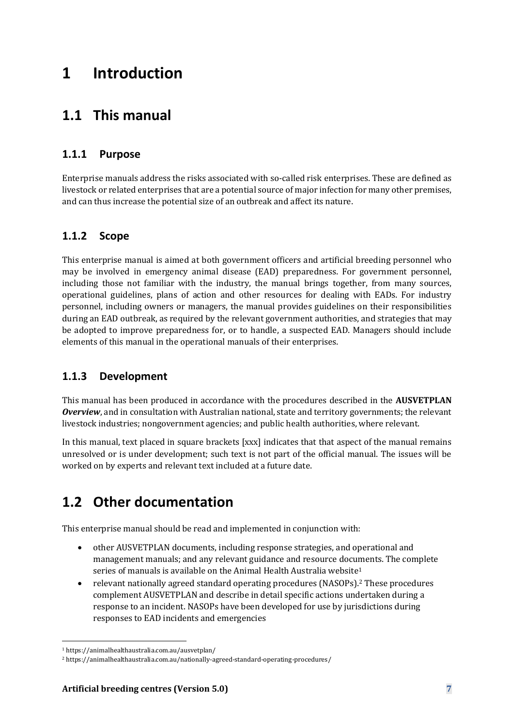# **1 Introduction**

## **1.1 This manual**

### **1.1.1 Purpose**

Enterprise manuals address the risks associated with so-called risk enterprises. These are defined as livestock or related enterprises that are a potential source of major infection for many other premises, and can thus increase the potential size of an outbreak and affect its nature.

### **1.1.2 Scope**

This enterprise manual is aimed at both government officers and artificial breeding personnel who may be involved in emergency animal disease (EAD) preparedness. For government personnel, including those not familiar with the industry, the manual brings together, from many sources, operational guidelines, plans of action and other resources for dealing with EADs. For industry personnel, including owners or managers, the manual provides guidelines on their responsibilities during an EAD outbreak, as required by the relevant government authorities, and strategies that may be adopted to improve preparedness for, or to handle, a suspected EAD. Managers should include elements of this manual in the operational manuals of their enterprises.

### **1.1.3 Development**

This manual has been produced in accordance with the procedures described in the **AUSVETPLAN**  *Overview*, and in consultation with Australian national, state and territory governments; the relevant livestock industries; nongovernment agencies; and public health authorities, where relevant.

In this manual, text placed in square brackets [xxx] indicates that that aspect of the manual remains unresolved or is under development; such text is not part of the official manual. The issues will be worked on by experts and relevant text included at a future date.

## **1.2 Other documentation**

This enterprise manual should be read and implemented in conjunction with:

- other AUSVETPLAN documents, including response strategies, and operational and management manuals; and any relevant guidance and resource documents. The complete series of manuals is available on the Animal Health Australia website<sup>1</sup>
- relevant nationally agreed standard operating procedures (NASOPs).<sup>2</sup> These procedures complement AUSVETPLAN and describe in detail specific actions undertaken during a response to an incident. NASOPs have been developed for use by jurisdictions during responses to EAD incidents and emergencies

<sup>1</sup> https://animalhealthaustralia.com.au/ausvetplan/

<sup>2</sup> https://animalhealthaustralia.com.au/nationally-agreed-standard-operating-procedures/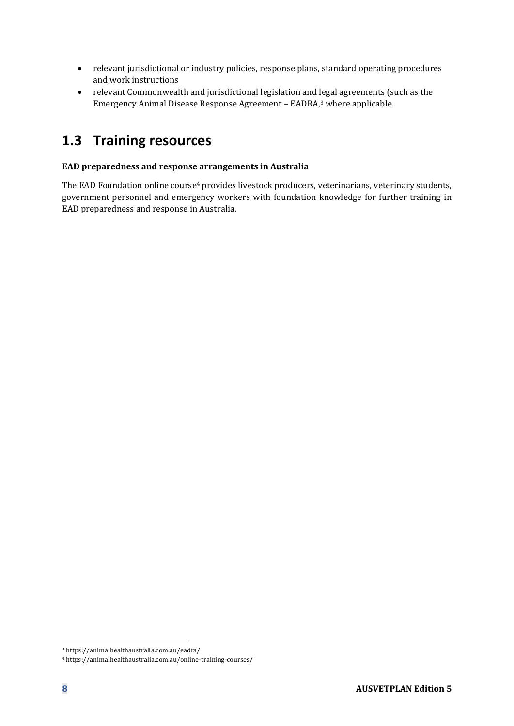- relevant jurisdictional or industry policies, response plans, standard operating procedures and work instructions
- relevant Commonwealth and jurisdictional legislation and legal agreements (such as the Emergency Animal Disease Response Agreement – EADRA,<sup>3</sup> where applicable.

## **1.3 Training resources**

#### **EAD preparedness and response arrangements in Australia**

The EAD Foundation online course<sup>4</sup> provides livestock producers, veterinarians, veterinary students, government personnel and emergency workers with foundation knowledge for further training in EAD preparedness and response in Australia.

<sup>3</sup> https://animalhealthaustralia.com.au/eadra/

<sup>4</sup> https://animalhealthaustralia.com.au/online-training-courses/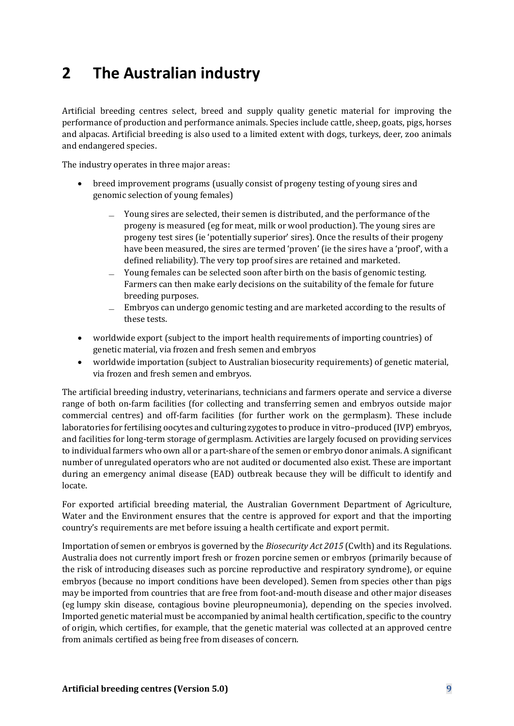# **2 The Australian industry**

Artificial breeding centres select, breed and supply quality genetic material for improving the performance of production and performance animals. Species include cattle, sheep, goats, pigs, horses and alpacas. Artificial breeding is also used to a limited extent with dogs, turkeys, deer, zoo animals and endangered species.

The industry operates in three major areas:

- breed improvement programs (usually consist of progeny testing of young sires and genomic selection of young females)
	- ̶ Young sires are selected, their semen is distributed, and the performance of the progeny is measured (eg for meat, milk or wool production). The young sires are progeny test sires (ie 'potentially superior' sires). Once the results of their progeny have been measured, the sires are termed 'proven' (ie the sires have a 'proof', with a defined reliability). The very top proof sires are retained and marketed.
	- Young females can be selected soon after birth on the basis of genomic testing. Farmers can then make early decisions on the suitability of the female for future breeding purposes.
	- ̶ Embryos can undergo genomic testing and are marketed according to the results of these tests.
- worldwide export (subject to the import health requirements of importing countries) of genetic material, via frozen and fresh semen and embryos
- worldwide importation (subject to Australian biosecurity requirements) of genetic material, via frozen and fresh semen and embryos.

The artificial breeding industry, veterinarians, technicians and farmers operate and service a diverse range of both on-farm facilities (for collecting and transferring semen and embryos outside major commercial centres) and off-farm facilities (for further work on the germplasm). These include laboratories for fertilising oocytes and culturing zygotes to produce in vitro–produced (IVP) embryos, and facilities for long-term storage of germplasm. Activities are largely focused on providing services to individual farmers who own all or a part-share of the semen or embryo donor animals. A significant number of unregulated operators who are not audited or documented also exist. These are important during an emergency animal disease (EAD) outbreak because they will be difficult to identify and locate.

For exported artificial breeding material, the Australian Government Department of Agriculture, Water and the Environment ensures that the centre is approved for export and that the importing country's requirements are met before issuing a health certificate and export permit.

Importation of semen or embryos is governed by the *Biosecurity Act 2015* (Cwlth) and its Regulations. Australia does not currently import fresh or frozen porcine semen or embryos (primarily because of the risk of introducing diseases such as porcine reproductive and respiratory syndrome), or equine embryos (because no import conditions have been developed). Semen from species other than pigs may be imported from countries that are free from foot-and-mouth disease and other major diseases (eg lumpy skin disease, contagious bovine pleuropneumonia), depending on the species involved. Imported genetic material must be accompanied by animal health certification, specific to the country of origin, which certifies, for example, that the genetic material was collected at an approved centre from animals certified as being free from diseases of concern.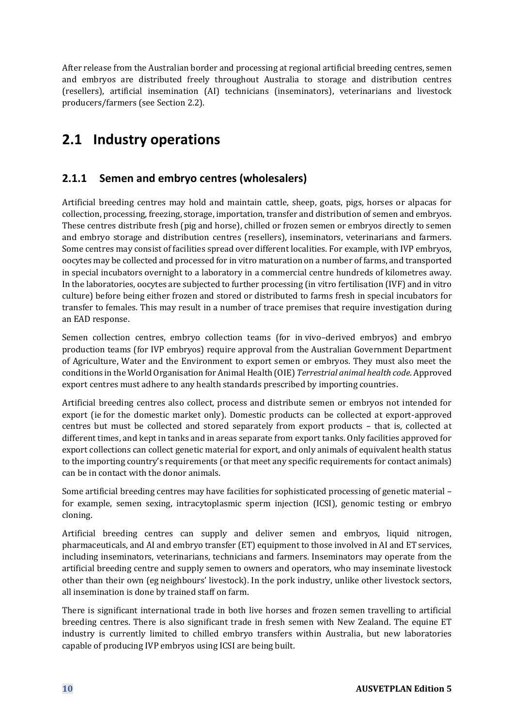After release from the Australian border and processing at regional artificial breeding centres, semen and embryos are distributed freely throughout Australia to storage and distribution centres (resellers), artificial insemination (AI) technicians (inseminators), veterinarians and livestock producers/farmers (see Section 2.2).

## **2.1 Industry operations**

### **2.1.1 Semen and embryo centres (wholesalers)**

Artificial breeding centres may hold and maintain cattle, sheep, goats, pigs, horses or alpacas for collection, processing, freezing, storage, importation, transfer and distribution of semen and embryos. These centres distribute fresh (pig and horse), chilled or frozen semen or embryos directly to semen and embryo storage and distribution centres (resellers), inseminators, veterinarians and farmers. Some centres may consist of facilities spread over different localities. For example, with IVP embryos, oocytes may be collected and processed for in vitro maturation on a number of farms, and transported in special incubators overnight to a laboratory in a commercial centre hundreds of kilometres away. In the laboratories, oocytes are subjected to further processing (in vitro fertilisation (IVF) and in vitro culture) before being either frozen and stored or distributed to farms fresh in special incubators for transfer to females. This may result in a number of trace premises that require investigation during an EAD response.

Semen collection centres, embryo collection teams (for in vivo–derived embryos) and embryo production teams (for IVP embryos) require approval from the Australian Government Department of Agriculture, Water and the Environment to export semen or embryos. They must also meet the conditions in the World Organisation for Animal Health (OIE) *Terrestrial animal health code*. Approved export centres must adhere to any health standards prescribed by importing countries.

Artificial breeding centres also collect, process and distribute semen or embryos not intended for export (ie for the domestic market only). Domestic products can be collected at export-approved centres but must be collected and stored separately from export products – that is, collected at different times, and kept in tanks and in areas separate from export tanks. Only facilities approved for export collections can collect genetic material for export, and only animals of equivalent health status to the importing country's requirements (or that meet any specific requirements for contact animals) can be in contact with the donor animals.

Some artificial breeding centres may have facilities for sophisticated processing of genetic material – for example, semen sexing, intracytoplasmic sperm injection (ICSI), genomic testing or embryo cloning.

Artificial breeding centres can supply and deliver semen and embryos, liquid nitrogen, pharmaceuticals, and AI and embryo transfer (ET) equipment to those involved in AI and ET services, including inseminators, veterinarians, technicians and farmers. Inseminators may operate from the artificial breeding centre and supply semen to owners and operators, who may inseminate livestock other than their own (eg neighbours' livestock). In the pork industry, unlike other livestock sectors, all insemination is done by trained staff on farm.

There is significant international trade in both live horses and frozen semen travelling to artificial breeding centres. There is also significant trade in fresh semen with New Zealand. The equine ET industry is currently limited to chilled embryo transfers within Australia, but new laboratories capable of producing IVP embryos using ICSI are being built.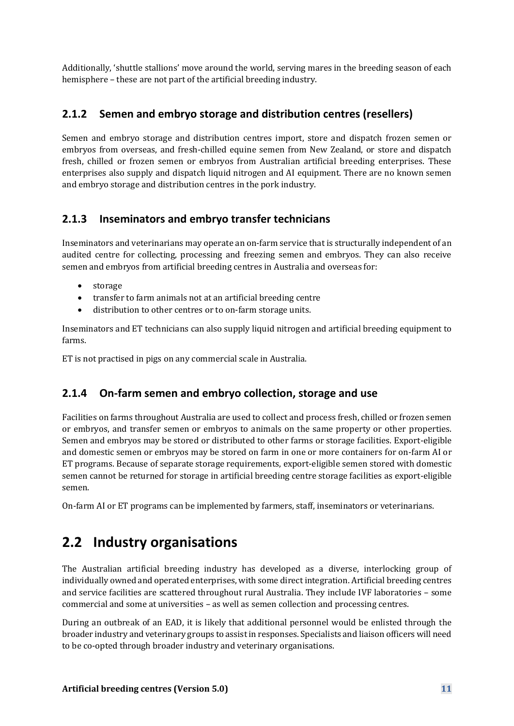Additionally, 'shuttle stallions' move around the world, serving mares in the breeding season of each hemisphere – these are not part of the artificial breeding industry.

### **2.1.2 Semen and embryo storage and distribution centres (resellers)**

Semen and embryo storage and distribution centres import, store and dispatch frozen semen or embryos from overseas, and fresh-chilled equine semen from New Zealand, or store and dispatch fresh, chilled or frozen semen or embryos from Australian artificial breeding enterprises. These enterprises also supply and dispatch liquid nitrogen and AI equipment. There are no known semen and embryo storage and distribution centres in the pork industry.

### **2.1.3 Inseminators and embryo transfer technicians**

Inseminators and veterinarians may operate an on-farm service that is structurally independent of an audited centre for collecting, processing and freezing semen and embryos. They can also receive semen and embryos from artificial breeding centres in Australia and overseas for:

- storage
- transfer to farm animals not at an artificial breeding centre
- distribution to other centres or to on-farm storage units.

Inseminators and ET technicians can also supply liquid nitrogen and artificial breeding equipment to farms.

ET is not practised in pigs on any commercial scale in Australia.

### **2.1.4 On-farm semen and embryo collection, storage and use**

Facilities on farms throughout Australia are used to collect and process fresh, chilled or frozen semen or embryos, and transfer semen or embryos to animals on the same property or other properties. Semen and embryos may be stored or distributed to other farms or storage facilities. Export-eligible and domestic semen or embryos may be stored on farm in one or more containers for on-farm AI or ET programs. Because of separate storage requirements, export-eligible semen stored with domestic semen cannot be returned for storage in artificial breeding centre storage facilities as export-eligible semen.

On-farm AI or ET programs can be implemented by farmers, staff, inseminators or veterinarians.

## **2.2 Industry organisations**

The Australian artificial breeding industry has developed as a diverse, interlocking group of individually owned and operated enterprises, with some direct integration. Artificial breeding centres and service facilities are scattered throughout rural Australia. They include IVF laboratories – some commercial and some at universities – as well as semen collection and processing centres.

During an outbreak of an EAD, it is likely that additional personnel would be enlisted through the broader industry and veterinary groups to assist in responses. Specialists and liaison officers will need to be co-opted through broader industry and veterinary organisations.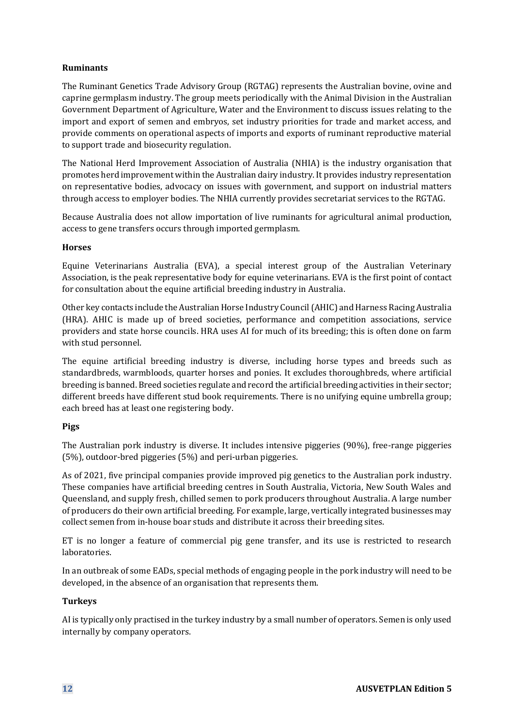#### **Ruminants**

The Ruminant Genetics Trade Advisory Group (RGTAG) represents the Australian bovine, ovine and caprine germplasm industry. The group meets periodically with the Animal Division in the Australian Government Department of Agriculture, Water and the Environment to discuss issues relating to the import and export of semen and embryos, set industry priorities for trade and market access, and provide comments on operational aspects of imports and exports of ruminant reproductive material to support trade and biosecurity regulation.

The National Herd Improvement Association of Australia (NHIA) is the industry organisation that promotes herd improvement within the Australian dairy industry. It provides industry representation on representative bodies, advocacy on issues with government, and support on industrial matters through access to employer bodies. The NHIA currently provides secretariat services to the RGTAG.

Because Australia does not allow importation of live ruminants for agricultural animal production, access to gene transfers occurs through imported germplasm.

#### **Horses**

Equine Veterinarians Australia (EVA), a special interest group of the Australian Veterinary Association, is the peak representative body for equine veterinarians. EVA is the first point of contact for consultation about the equine artificial breeding industry in Australia.

Other key contacts include the Australian Horse Industry Council (AHIC) and Harness Racing Australia (HRA). AHIC is made up of breed societies, performance and competition associations, service providers and state horse councils. HRA uses AI for much of its breeding; this is often done on farm with stud personnel.

The equine artificial breeding industry is diverse, including horse types and breeds such as standardbreds, warmbloods, quarter horses and ponies. It excludes thoroughbreds, where artificial breeding is banned. Breed societies regulate and record the artificial breeding activities in their sector; different breeds have different stud book requirements. There is no unifying equine umbrella group; each breed has at least one registering body.

#### **Pigs**

The Australian pork industry is diverse. It includes intensive piggeries (90%), free-range piggeries (5%), outdoor-bred piggeries (5%) and peri-urban piggeries.

As of 2021, five principal companies provide improved pig genetics to the Australian pork industry. These companies have artificial breeding centres in South Australia, Victoria, New South Wales and Queensland, and supply fresh, chilled semen to pork producers throughout Australia. A large number of producers do their own artificial breeding. For example, large, vertically integrated businesses may collect semen from in-house boar studs and distribute it across their breeding sites.

ET is no longer a feature of commercial pig gene transfer, and its use is restricted to research laboratories.

In an outbreak of some EADs, special methods of engaging people in the pork industry will need to be developed, in the absence of an organisation that represents them.

#### **Turkeys**

AI is typically only practised in the turkey industry by a small number of operators. Semen is only used internally by company operators.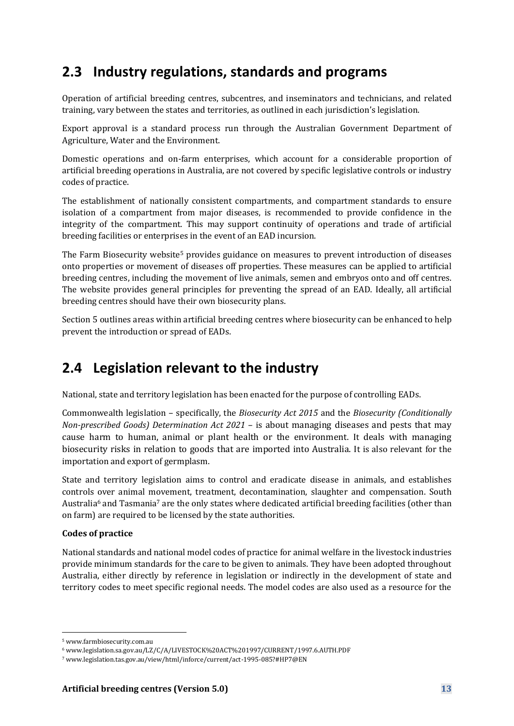## **2.3 Industry regulations, standards and programs**

Operation of artificial breeding centres, subcentres, and inseminators and technicians, and related training, vary between the states and territories, as outlined in each jurisdiction's legislation.

Export approval is a standard process run through the Australian Government Department of Agriculture, Water and the Environment.

Domestic operations and on-farm enterprises, which account for a considerable proportion of artificial breeding operations in Australia, are not covered by specific legislative controls or industry codes of practice.

The establishment of nationally consistent compartments, and compartment standards to ensure isolation of a compartment from major diseases, is recommended to provide confidence in the integrity of the compartment. This may support continuity of operations and trade of artificial breeding facilities or enterprises in the event of an EAD incursion.

The Farm Biosecurity website<sup>5</sup> provides guidance on measures to prevent introduction of diseases onto properties or movement of diseases off properties. These measures can be applied to artificial breeding centres, including the movement of live animals, semen and embryos onto and off centres. The website provides general principles for preventing the spread of an EAD. Ideally, all artificial breeding centres should have their own biosecurity plans.

Section 5 outlines areas within artificial breeding centres where biosecurity can be enhanced to help prevent the introduction or spread of EADs.

## **2.4 Legislation relevant to the industry**

National, state and territory legislation has been enacted for the purpose of controlling EADs.

Commonwealth legislation – specifically, the *Biosecurity Act 2015* and the *Biosecurity (Conditionally Non-prescribed Goods) Determination Act 2021* – is about managing diseases and pests that may cause harm to human, animal or plant health or the environment. It deals with managing biosecurity risks in relation to goods that are imported into Australia. It is also relevant for the importation and export of germplasm.

State and territory legislation aims to control and eradicate disease in animals, and establishes controls over animal movement, treatment, decontamination, slaughter and compensation. South Australia<sup>6</sup> and Tasmania<sup>7</sup> are the only states where dedicated artificial breeding facilities (other than on farm) are required to be licensed by the state authorities.

### **Codes of practice**

National standards and national model codes of practice for animal welfare in the livestock industries provide minimum standards for the care to be given to animals. They have been adopted throughout Australia, either directly by reference in legislation or indirectly in the development of state and territory codes to meet specific regional needs. The model codes are also used as a resource for the

<sup>5</sup> www.farmbiosecurity.com.au

<sup>6</sup> www.legislation.sa.gov.au/LZ/C/A/LIVESTOCK%20ACT%201997/CURRENT/1997.6.AUTH.PDF

<sup>7</sup> www.legislation.tas.gov.au/view/html/inforce/current/act-1995-085?#HP7@EN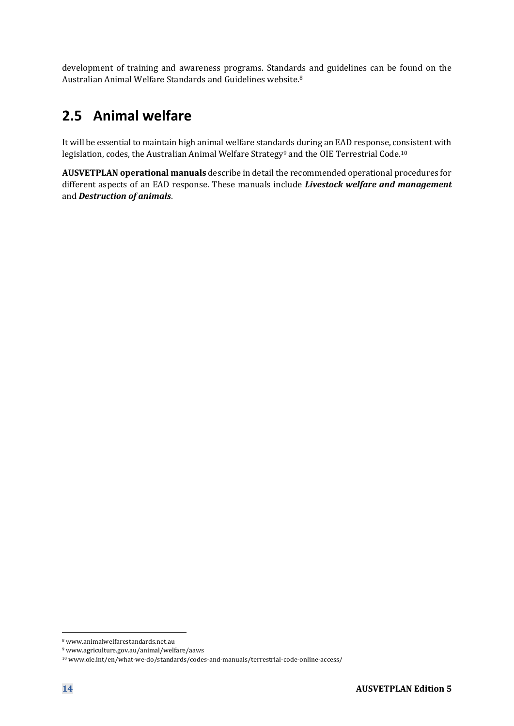development of training and awareness programs. Standards and guidelines can be found on the Australian Animal Welfare Standards and Guidelines website.<sup>8</sup>

## **2.5 Animal welfare**

It will be essential to maintain high animal welfare standards during an EAD response, consistent with legislation, codes, the Australian Animal Welfare Strategy<sup>9</sup> and the OIE Terrestrial Code.<sup>10</sup>

**AUSVETPLAN operational manuals** describe in detail the recommended operational procedures for different aspects of an EAD response. These manuals include *Livestock welfare and management* and *Destruction of animals*.

<sup>8</sup> www.animalwelfarestandards.net.au

<sup>9</sup> www.agriculture.gov.au/animal/welfare/aaws

<sup>10</sup> www.oie.int/en/what-we-do/standards/codes-and-manuals/terrestrial-code-online-access/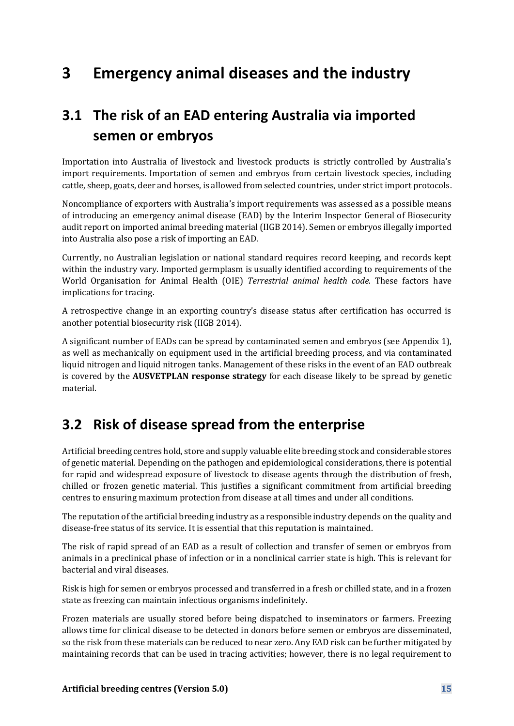# **3 Emergency animal diseases and the industry**

# **3.1 The risk of an EAD entering Australia via imported semen or embryos**

Importation into Australia of livestock and livestock products is strictly controlled by Australia's import requirements. Importation of semen and embryos from certain livestock species, including cattle, sheep, goats, deer and horses, is allowed from selected countries, under strict import protocols.

Noncompliance of exporters with Australia's import requirements was assessed as a possible means of introducing an emergency animal disease (EAD) by the Interim Inspector General of Biosecurity audit report on imported animal breeding material (IIGB 2014). Semen or embryos illegally imported into Australia also pose a risk of importing an EAD.

Currently, no Australian legislation or national standard requires record keeping, and records kept within the industry vary. Imported germplasm is usually identified according to requirements of the World Organisation for Animal Health (OIE) *Terrestrial animal health code*. These factors have implications for tracing.

A retrospective change in an exporting country's disease status after certification has occurred is another potential biosecurity risk (IIGB 2014).

A significant number of EADs can be spread by contaminated semen and embryos (see Appendix 1), as well as mechanically on equipment used in the artificial breeding process, and via contaminated liquid nitrogen and liquid nitrogen tanks. Management of these risks in the event of an EAD outbreak is covered by the **AUSVETPLAN response strategy** for each disease likely to be spread by genetic material.

## **3.2 Risk of disease spread from the enterprise**

Artificial breeding centres hold, store and supply valuable elite breeding stock and considerable stores of genetic material. Depending on the pathogen and epidemiological considerations, there is potential for rapid and widespread exposure of livestock to disease agents through the distribution of fresh, chilled or frozen genetic material. This justifies a significant commitment from artificial breeding centres to ensuring maximum protection from disease at all times and under all conditions.

The reputation of the artificial breeding industry as a responsible industry depends on the quality and disease-free status of its service. It is essential that this reputation is maintained.

The risk of rapid spread of an EAD as a result of collection and transfer of semen or embryos from animals in a preclinical phase of infection or in a nonclinical carrier state is high. This is relevant for bacterial and viral diseases.

Risk is high for semen or embryos processed and transferred in a fresh or chilled state, and in a frozen state as freezing can maintain infectious organisms indefinitely.

Frozen materials are usually stored before being dispatched to inseminators or farmers. Freezing allows time for clinical disease to be detected in donors before semen or embryos are disseminated, so the risk from these materials can be reduced to near zero. Any EAD risk can be further mitigated by maintaining records that can be used in tracing activities; however, there is no legal requirement to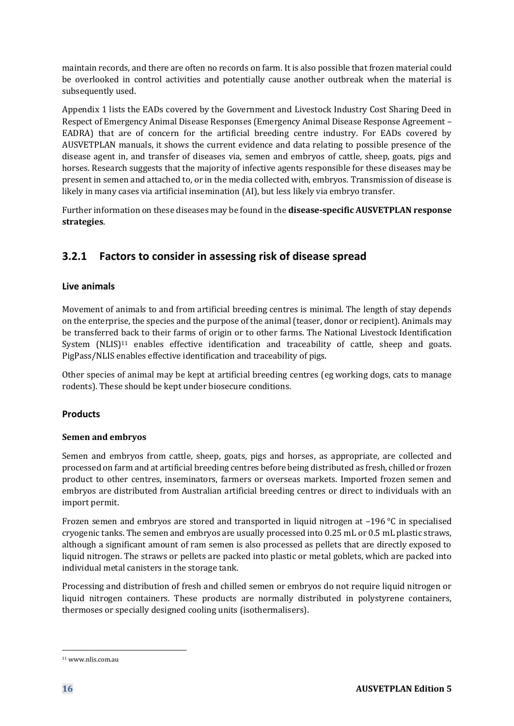maintain records, and there are often no records on farm. It is also possible that frozen material could be overlooked in control activities and potentially cause another outbreak when the material is subsequently used.

Appendix 1 lists the EADs covered by the Government and Livestock Industry Cost Sharing Deed in Respect of Emergency Animal Disease Responses (Emergency Animal Disease Response Agreement – EADRA) that are of concern for the artificial breeding centre industry. For EADs covered by AUSVETPLAN manuals, it shows the current evidence and data relating to possible presence of the disease agent in, and transfer of diseases via, semen and embryos of cattle, sheep, goats, pigs and horses. Research suggests that the majority of infective agents responsible for these diseases may be present in semen and attached to, or in the media collected with, embryos. Transmission of disease is likely in many cases via artificial insemination (AI), but less likely via embryo transfer.

Further information on these diseases may be found in the **disease-specific AUSVETPLAN response strategies**.

### **3.2.1 Factors to consider in assessing risk of disease spread**

### **Live animals**

Movement of animals to and from artificial breeding centres is minimal. The length of stay depends on the enterprise, the species and the purpose of the animal (teaser, donor or recipient). Animals may be transferred back to their farms of origin or to other farms. The National Livestock Identification System  $(NLIS)^{11}$  enables effective identification and traceability of cattle, sheep and goats. PigPass/NLIS enables effective identification and traceability of pigs.

Other species of animal may be kept at artificial breeding centres (eg working dogs, cats to manage rodents). These should be kept under biosecure conditions.

### **Products**

### **Semen and embryos**

Semen and embryos from cattle, sheep, goats, pigs and horses, as appropriate, are collected and processed on farm and at artificial breeding centres before being distributed as fresh, chilled or frozen product to other centres, inseminators, farmers or overseas markets. Imported frozen semen and embryos are distributed from Australian artificial breeding centres or direct to individuals with an import permit.

Frozen semen and embryos are stored and transported in liquid nitrogen at –196 °C in specialised cryogenic tanks. The semen and embryos are usually processed into 0.25 mL or 0.5 mL plastic straws, although a significant amount of ram semen is also processed as pellets that are directly exposed to liquid nitrogen. The straws or pellets are packed into plastic or metal goblets, which are packed into individual metal canisters in the storage tank.

Processing and distribution of fresh and chilled semen or embryos do not require liquid nitrogen or liquid nitrogen containers. These products are normally distributed in polystyrene containers, thermoses or specially designed cooling units (isothermalisers).

<sup>11</sup> www.nlis.com.au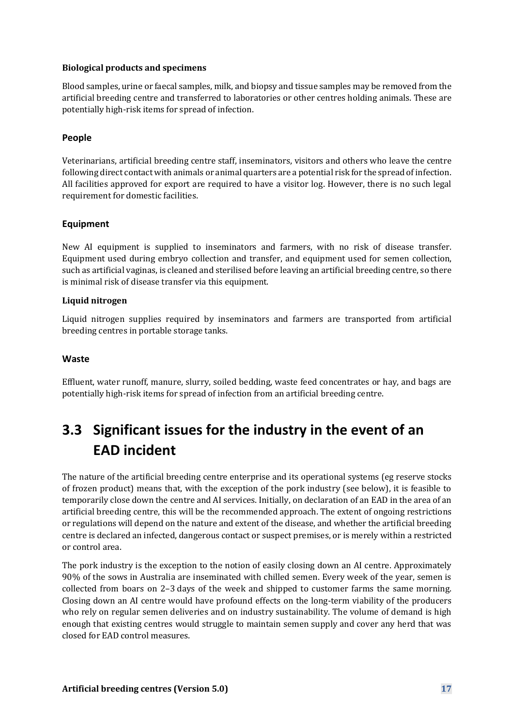#### **Biological products and specimens**

Blood samples, urine or faecal samples, milk, and biopsy and tissue samples may be removed from the artificial breeding centre and transferred to laboratories or other centres holding animals. These are potentially high-risk items for spread of infection.

#### **People**

Veterinarians, artificial breeding centre staff, inseminators, visitors and others who leave the centre following direct contact with animals or animal quarters are a potential risk for the spread of infection. All facilities approved for export are required to have a visitor log. However, there is no such legal requirement for domestic facilities.

#### **Equipment**

New AI equipment is supplied to inseminators and farmers, with no risk of disease transfer. Equipment used during embryo collection and transfer, and equipment used for semen collection, such as artificial vaginas, is cleaned and sterilised before leaving an artificial breeding centre, so there is minimal risk of disease transfer via this equipment.

#### **Liquid nitrogen**

Liquid nitrogen supplies required by inseminators and farmers are transported from artificial breeding centres in portable storage tanks.

#### **Waste**

Effluent, water runoff, manure, slurry, soiled bedding, waste feed concentrates or hay, and bags are potentially high-risk items for spread of infection from an artificial breeding centre.

# **3.3 Significant issues for the industry in the event of an EAD incident**

The nature of the artificial breeding centre enterprise and its operational systems (eg reserve stocks of frozen product) means that, with the exception of the pork industry (see below), it is feasible to temporarily close down the centre and AI services. Initially, on declaration of an EAD in the area of an artificial breeding centre, this will be the recommended approach. The extent of ongoing restrictions or regulations will depend on the nature and extent of the disease, and whether the artificial breeding centre is declared an infected, dangerous contact or suspect premises, or is merely within a restricted or control area.

The pork industry is the exception to the notion of easily closing down an AI centre. Approximately 90% of the sows in Australia are inseminated with chilled semen. Every week of the year, semen is collected from boars on 2–3 days of the week and shipped to customer farms the same morning. Closing down an AI centre would have profound effects on the long-term viability of the producers who rely on regular semen deliveries and on industry sustainability. The volume of demand is high enough that existing centres would struggle to maintain semen supply and cover any herd that was closed for EAD control measures.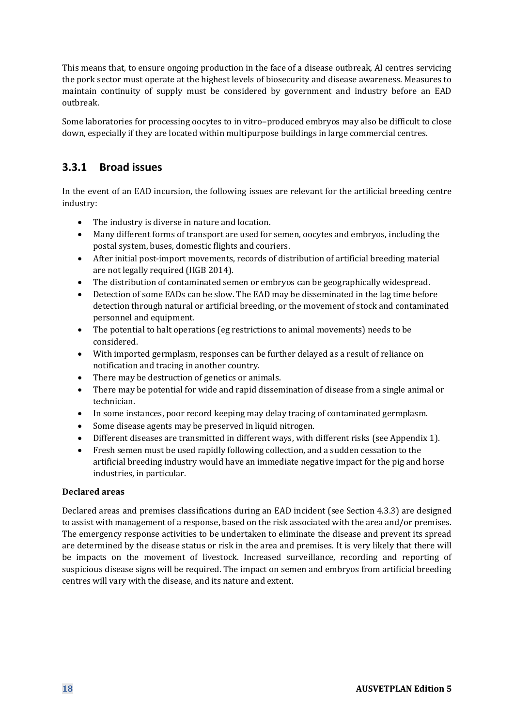This means that, to ensure ongoing production in the face of a disease outbreak, AI centres servicing the pork sector must operate at the highest levels of biosecurity and disease awareness. Measures to maintain continuity of supply must be considered by government and industry before an EAD outbreak.

Some laboratories for processing oocytes to in vitro–produced embryos may also be difficult to close down, especially if they are located within multipurpose buildings in large commercial centres.

## **3.3.1 Broad issues**

In the event of an EAD incursion, the following issues are relevant for the artificial breeding centre industry:

- The industry is diverse in nature and location.
- Many different forms of transport are used for semen, oocytes and embryos, including the postal system, buses, domestic flights and couriers.
- After initial post-import movements, records of distribution of artificial breeding material are not legally required (IIGB 2014).
- The distribution of contaminated semen or embryos can be geographically widespread.
- Detection of some EADs can be slow. The EAD may be disseminated in the lag time before detection through natural or artificial breeding, or the movement of stock and contaminated personnel and equipment.
- The potential to halt operations (eg restrictions to animal movements) needs to be considered.
- With imported germplasm, responses can be further delayed as a result of reliance on notification and tracing in another country.
- There may be destruction of genetics or animals.
- There may be potential for wide and rapid dissemination of disease from a single animal or technician.
- In some instances, poor record keeping may delay tracing of contaminated germplasm.
- Some disease agents may be preserved in liquid nitrogen.
- Different diseases are transmitted in different ways, with different risks (see Appendix 1).
- Fresh semen must be used rapidly following collection, and a sudden cessation to the artificial breeding industry would have an immediate negative impact for the pig and horse industries, in particular.

### **Declared areas**

Declared areas and premises classifications during an EAD incident (see Section 4.3.3) are designed to assist with management of a response, based on the risk associated with the area and/or premises. The emergency response activities to be undertaken to eliminate the disease and prevent its spread are determined by the disease status or risk in the area and premises. It is very likely that there will be impacts on the movement of livestock. Increased surveillance, recording and reporting of suspicious disease signs will be required. The impact on semen and embryos from artificial breeding centres will vary with the disease, and its nature and extent.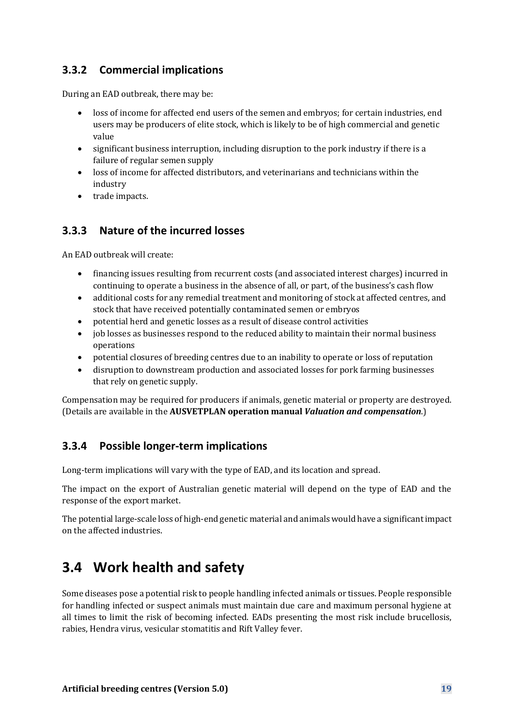## **3.3.2 Commercial implications**

During an EAD outbreak, there may be:

- loss of income for affected end users of the semen and embryos; for certain industries, end users may be producers of elite stock, which is likely to be of high commercial and genetic value
- significant business interruption, including disruption to the pork industry if there is a failure of regular semen supply
- loss of income for affected distributors, and veterinarians and technicians within the industry
- trade impacts.

### **3.3.3 Nature of the incurred losses**

An EAD outbreak will create:

- financing issues resulting from recurrent costs (and associated interest charges) incurred in continuing to operate a business in the absence of all, or part, of the business's cash flow
- additional costs for any remedial treatment and monitoring of stock at affected centres, and stock that have received potentially contaminated semen or embryos
- potential herd and genetic losses as a result of disease control activities
- job losses as businesses respond to the reduced ability to maintain their normal business operations
- potential closures of breeding centres due to an inability to operate or loss of reputation
- disruption to downstream production and associated losses for pork farming businesses that rely on genetic supply.

Compensation may be required for producers if animals, genetic material or property are destroyed. (Details are available in the **AUSVETPLAN operation manual** *Valuation and compensation*.)

### **3.3.4 Possible longer-term implications**

Long-term implications will vary with the type of EAD, and its location and spread.

The impact on the export of Australian genetic material will depend on the type of EAD and the response of the export market.

The potential large-scale loss of high-end genetic material and animals would have a significant impact on the affected industries.

## **3.4 Work health and safety**

Some diseases pose a potential risk to people handling infected animals or tissues. People responsible for handling infected or suspect animals must maintain due care and maximum personal hygiene at all times to limit the risk of becoming infected. EADs presenting the most risk include brucellosis, rabies, Hendra virus, vesicular stomatitis and Rift Valley fever.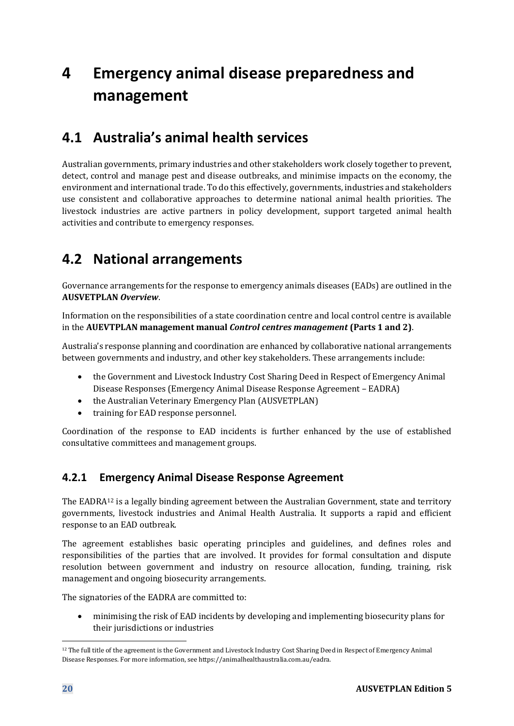# **4 Emergency animal disease preparedness and management**

## **4.1 Australia's animal health services**

Australian governments, primary industries and other stakeholders work closely together to prevent, detect, control and manage pest and disease outbreaks, and minimise impacts on the economy, the environment and international trade. To do this effectively, governments, industries and stakeholders use consistent and collaborative approaches to determine national animal health priorities. The livestock industries are active partners in policy development, support targeted animal health activities and contribute to emergency responses.

## **4.2 National arrangements**

Governance arrangements for the response to emergency animals diseases (EADs) are outlined in the **AUSVETPLAN** *Overview*.

Information on the responsibilities of a state coordination centre and local control centre is available in the **AUEVTPLAN management manual** *Control centres management* **(Parts 1 and 2)**.

Australia's response planning and coordination are enhanced by collaborative national arrangements between governments and industry, and other key stakeholders. These arrangements include:

- the Government and Livestock Industry Cost Sharing Deed in Respect of Emergency Animal Disease Responses (Emergency Animal Disease Response Agreement – EADRA)
- the Australian Veterinary Emergency Plan (AUSVETPLAN)
- training for EAD response personnel.

Coordination of the response to EAD incidents is further enhanced by the use of established consultative committees and management groups.

### **4.2.1 Emergency Animal Disease Response Agreement**

The EADRA<sup>12</sup> is a legally binding agreement between the Australian Government, state and territory governments, livestock industries and Animal Health Australia. It supports a rapid and efficient response to an EAD outbreak.

The agreement establishes basic operating principles and guidelines, and defines roles and responsibilities of the parties that are involved. It provides for formal consultation and dispute resolution between government and industry on resource allocation, funding, training, risk management and ongoing biosecurity arrangements.

The signatories of the EADRA are committed to:

• minimising the risk of EAD incidents by developing and implementing biosecurity plans for their jurisdictions or industries

<sup>12</sup> The full title of the agreement is the Government and Livestock Industry Cost Sharing Deed in Respect of Emergency Animal Disease Responses. For more information, see https://animalhealthaustralia.com.au/eadra.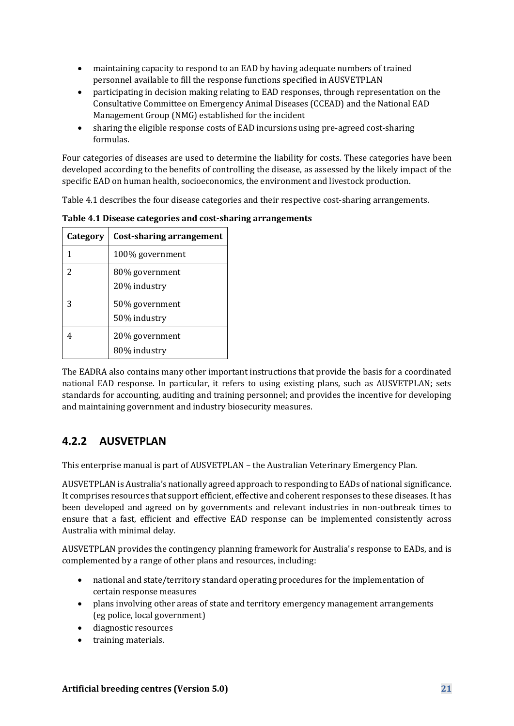- maintaining capacity to respond to an EAD by having adequate numbers of trained personnel available to fill the response functions specified in AUSVETPLAN
- participating in decision making relating to EAD responses, through representation on the Consultative Committee on Emergency Animal Diseases (CCEAD) and the National EAD Management Group (NMG) established for the incident
- sharing the eligible response costs of EAD incursions using pre-agreed cost-sharing formulas.

Four categories of diseases are used to determine the liability for costs. These categories have been developed according to the benefits of controlling the disease, as assessed by the likely impact of the specific EAD on human health, socioeconomics, the environment and livestock production.

Table 4.1 describes the four disease categories and their respective cost-sharing arrangements.

<span id="page-20-0"></span>**Table 4.1 Disease categories and cost-sharing arrangements**

| Category      | Cost-sharing arrangement       |
|---------------|--------------------------------|
| 1             | 100% government                |
| $\mathcal{P}$ | 80% government<br>20% industry |
| 3             | 50% government<br>50% industry |
| 4             | 20% government<br>80% industry |

The EADRA also contains many other important instructions that provide the basis for a coordinated national EAD response. In particular, it refers to using existing plans, such as AUSVETPLAN; sets standards for accounting, auditing and training personnel; and provides the incentive for developing and maintaining government and industry biosecurity measures.

## **4.2.2 AUSVETPLAN**

This enterprise manual is part of AUSVETPLAN – the Australian Veterinary Emergency Plan.

AUSVETPLAN is Australia's nationally agreed approach to responding to EADs of national significance. It comprises resources that support efficient, effective and coherent responses to these diseases. It has been developed and agreed on by governments and relevant industries in non-outbreak times to ensure that a fast, efficient and effective EAD response can be implemented consistently across Australia with minimal delay.

AUSVETPLAN provides the contingency planning framework for Australia's response to EADs, and is complemented by a range of other plans and resources, including:

- national and state/territory standard operating procedures for the implementation of certain response measures
- plans involving other areas of state and territory emergency management arrangements (eg police, local government)
- diagnostic resources
- training materials.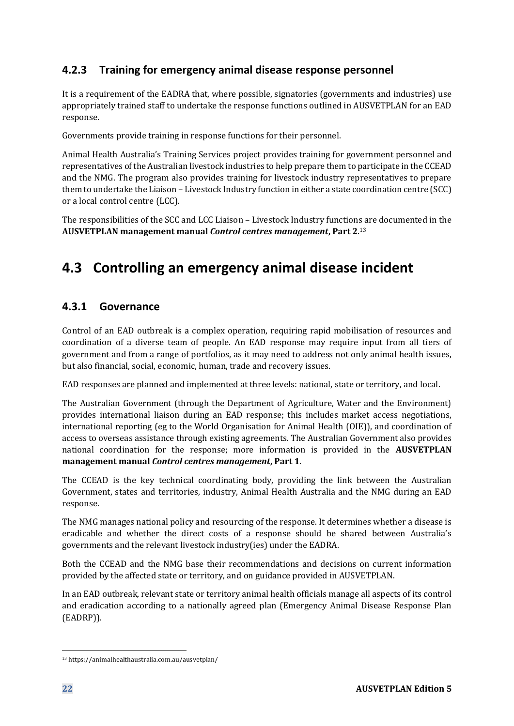### **4.2.3 Training for emergency animal disease response personnel**

It is a requirement of the EADRA that, where possible, signatories (governments and industries) use appropriately trained staff to undertake the response functions outlined in AUSVETPLAN for an EAD response.

Governments provide training in response functions for their personnel.

Animal Health Australia's Training Services project provides training for government personnel and representatives of the Australian livestock industries to help prepare them to participate in the CCEAD and the NMG. The program also provides training for livestock industry representatives to prepare them to undertake the Liaison – Livestock Industry function in either a state coordination centre (SCC) or a local control centre (LCC).

The responsibilities of the SCC and LCC Liaison – Livestock Industry functions are documented in the **AUSVETPLAN management manual** *Control centres management***, Part 2**. 13

## **4.3 Controlling an emergency animal disease incident**

### **4.3.1 Governance**

Control of an EAD outbreak is a complex operation, requiring rapid mobilisation of resources and coordination of a diverse team of people. An EAD response may require input from all tiers of government and from a range of portfolios, as it may need to address not only animal health issues, but also financial, social, economic, human, trade and recovery issues.

EAD responses are planned and implemented at three levels: national, state or territory, and local.

The Australian Government (through the Department of Agriculture, Water and the Environment) provides international liaison during an EAD response; this includes market access negotiations, international reporting (eg to the World Organisation for Animal Health (OIE)), and coordination of access to overseas assistance through existing agreements. The Australian Government also provides national coordination for the response; more information is provided in the **AUSVETPLAN management manual** *Control centres management***, Part 1**.

The CCEAD is the key technical coordinating body, providing the link between the Australian Government, states and territories, industry, Animal Health Australia and the NMG during an EAD response.

The NMG manages national policy and resourcing of the response. It determines whether a disease is eradicable and whether the direct costs of a response should be shared between Australia's governments and the relevant livestock industry(ies) under the EADRA.

Both the CCEAD and the NMG base their recommendations and decisions on current information provided by the affected state or territory, and on guidance provided in AUSVETPLAN.

In an EAD outbreak, relevant state or territory animal health officials manage all aspects of its control and eradication according to a nationally agreed plan (Emergency Animal Disease Response Plan (EADRP)).

<sup>13</sup> https://animalhealthaustralia.com.au/ausvetplan/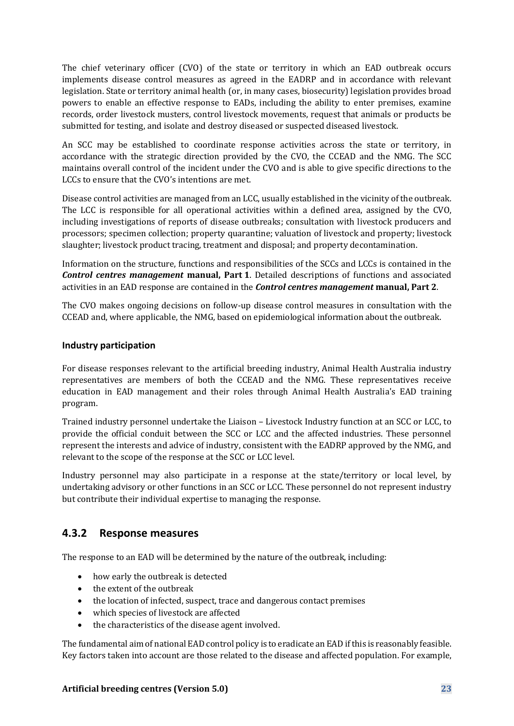The chief veterinary officer (CVO) of the state or territory in which an EAD outbreak occurs implements disease control measures as agreed in the EADRP and in accordance with relevant legislation. State or territory animal health (or, in many cases, biosecurity) legislation provides broad powers to enable an effective response to EADs, including the ability to enter premises, examine records, order livestock musters, control livestock movements, request that animals or products be submitted for testing, and isolate and destroy diseased or suspected diseased livestock.

An SCC may be established to coordinate response activities across the state or territory, in accordance with the strategic direction provided by the CVO, the CCEAD and the NMG. The SCC maintains overall control of the incident under the CVO and is able to give specific directions to the LCCs to ensure that the CVO's intentions are met.

Disease control activities are managed from an LCC, usually established in the vicinity of the outbreak. The LCC is responsible for all operational activities within a defined area, assigned by the CVO, including investigations of reports of disease outbreaks; consultation with livestock producers and processors; specimen collection; property quarantine; valuation of livestock and property; livestock slaughter; livestock product tracing, treatment and disposal; and property decontamination.

Information on the structure, functions and responsibilities of the SCCs and LCCs is contained in the *Control centres management* **manual, Part 1**. Detailed descriptions of functions and associated activities in an EAD response are contained in the *Control centres management* **manual, Part 2**.

The CVO makes ongoing decisions on follow-up disease control measures in consultation with the CCEAD and, where applicable, the NMG, based on epidemiological information about the outbreak.

### **Industry participation**

For disease responses relevant to the artificial breeding industry, Animal Health Australia industry representatives are members of both the CCEAD and the NMG. These representatives receive education in EAD management and their roles through Animal Health Australia's EAD training program.

Trained industry personnel undertake the Liaison – Livestock Industry function at an SCC or LCC, to provide the official conduit between the SCC or LCC and the affected industries. These personnel represent the interests and advice of industry, consistent with the EADRP approved by the NMG, and relevant to the scope of the response at the SCC or LCC level.

Industry personnel may also participate in a response at the state/territory or local level, by undertaking advisory or other functions in an SCC or LCC. These personnel do not represent industry but contribute their individual expertise to managing the response.

### **4.3.2 Response measures**

The response to an EAD will be determined by the nature of the outbreak, including:

- how early the outbreak is detected
- the extent of the outbreak
- the location of infected, suspect, trace and dangerous contact premises
- which species of livestock are affected
- the characteristics of the disease agent involved.

The fundamental aim of national EAD control policy is to eradicate an EAD if this is reasonably feasible. Key factors taken into account are those related to the disease and affected population. For example,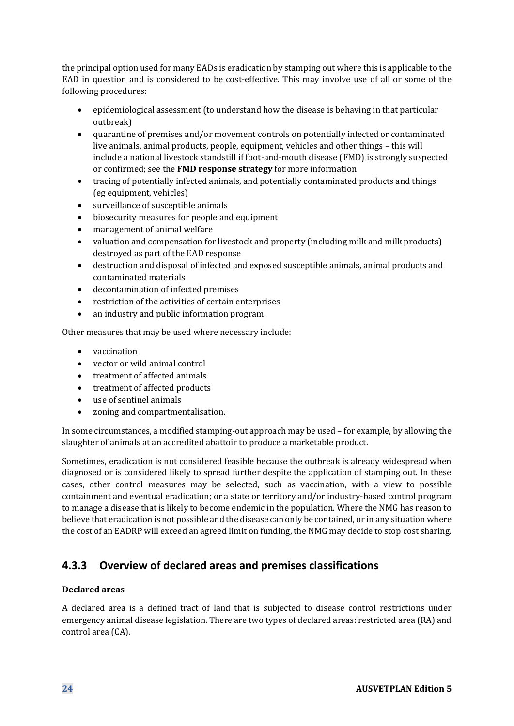the principal option used for many EADs is eradication by stamping out where this is applicable to the EAD in question and is considered to be cost-effective. This may involve use of all or some of the following procedures:

- epidemiological assessment (to understand how the disease is behaving in that particular outbreak)
- quarantine of premises and/or movement controls on potentially infected or contaminated live animals, animal products, people, equipment, vehicles and other things – this will include a national livestock standstill if foot-and-mouth disease (FMD) is strongly suspected or confirmed; see the **FMD response strategy** for more information
- tracing of potentially infected animals, and potentially contaminated products and things (eg equipment, vehicles)
- surveillance of susceptible animals
- biosecurity measures for people and equipment
- management of animal welfare
- valuation and compensation for livestock and property (including milk and milk products) destroyed as part of the EAD response
- destruction and disposal of infected and exposed susceptible animals, animal products and contaminated materials
- decontamination of infected premises
- restriction of the activities of certain enterprises
- an industry and public information program.

Other measures that may be used where necessary include:

- vaccination
- vector or wild animal control
- treatment of affected animals
- treatment of affected products
- use of sentinel animals
- zoning and compartmentalisation.

In some circumstances, a modified stamping-out approach may be used – for example, by allowing the slaughter of animals at an accredited abattoir to produce a marketable product.

Sometimes, eradication is not considered feasible because the outbreak is already widespread when diagnosed or is considered likely to spread further despite the application of stamping out. In these cases, other control measures may be selected, such as vaccination, with a view to possible containment and eventual eradication; or a state or territory and/or industry-based control program to manage a disease that is likely to become endemic in the population. Where the NMG has reason to believe that eradication is not possible and the disease can only be contained, or in any situation where the cost of an EADRP will exceed an agreed limit on funding, the NMG may decide to stop cost sharing.

### **4.3.3 Overview of declared areas and premises classifications**

### **Declared areas**

A declared area is a defined tract of land that is subjected to disease control restrictions under emergency animal disease legislation. There are two types of declared areas: restricted area (RA) and control area (CA).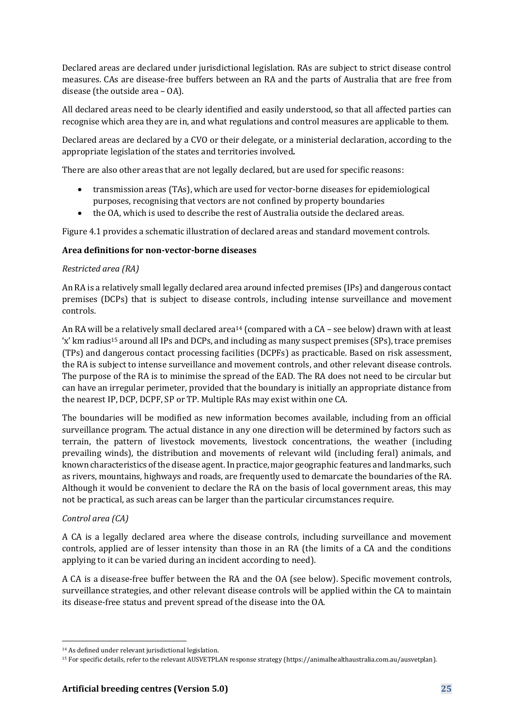Declared areas are declared under jurisdictional legislation. RAs are subject to strict disease control measures. CAs are disease-free buffers between an RA and the parts of Australia that are free from disease (the outside area – OA).

All declared areas need to be clearly identified and easily understood, so that all affected parties can recognise which area they are in, and what regulations and control measures are applicable to them.

Declared areas are declared by a CVO or their delegate, or a ministerial declaration, according to the appropriate legislation of the states and territories involved*.*

There are also other areas that are not legally declared, but are used for specific reasons:

- transmission areas (TAs), which are used for vector-borne diseases for epidemiological purposes, recognising that vectors are not confined by property boundaries
- the OA, which is used to describe the rest of Australia outside the declared areas.

Figure 4.1 provides a schematic illustration of declared areas and standard movement controls.

#### **Area definitions for non-vector-borne diseases**

#### *Restricted area (RA)*

An RA is a relatively small legally declared area around infected premises (IPs) and dangerous contact premises (DCPs) that is subject to disease controls, including intense surveillance and movement controls.

An RA will be a relatively small declared area<sup>14</sup> (compared with a CA – see below) drawn with at least 'x' km radius<sup>15</sup> around all IPs and DCPs, and including as many suspect premises (SPs), trace premises (TPs) and dangerous contact processing facilities (DCPFs) as practicable. Based on risk assessment, the RA is subject to intense surveillance and movement controls, and other relevant disease controls. The purpose of the RA is to minimise the spread of the EAD. The RA does not need to be circular but can have an irregular perimeter, provided that the boundary is initially an appropriate distance from the nearest IP, DCP, DCPF, SP or TP. Multiple RAs may exist within one CA.

The boundaries will be modified as new information becomes available, including from an official surveillance program. The actual distance in any one direction will be determined by factors such as terrain, the pattern of livestock movements, livestock concentrations, the weather (including prevailing winds), the distribution and movements of relevant wild (including feral) animals, and known characteristics of the disease agent. In practice, major geographic features and landmarks, such as rivers, mountains, highways and roads, are frequently used to demarcate the boundaries of the RA. Although it would be convenient to declare the RA on the basis of local government areas, this may not be practical, as such areas can be larger than the particular circumstances require.

### *Control area (CA)*

A CA is a legally declared area where the disease controls, including surveillance and movement controls, applied are of lesser intensity than those in an RA (the limits of a CA and the conditions applying to it can be varied during an incident according to need).

A CA is a disease-free buffer between the RA and the OA (see below). Specific movement controls, surveillance strategies, and other relevant disease controls will be applied within the CA to maintain its disease-free status and prevent spread of the disease into the OA.

<sup>14</sup> As defined under relevant jurisdictional legislation.

<sup>15</sup> For specific details, refer to the relevant AUSVETPLAN response strategy (https://animalhealthaustralia.com.au/ausvetplan).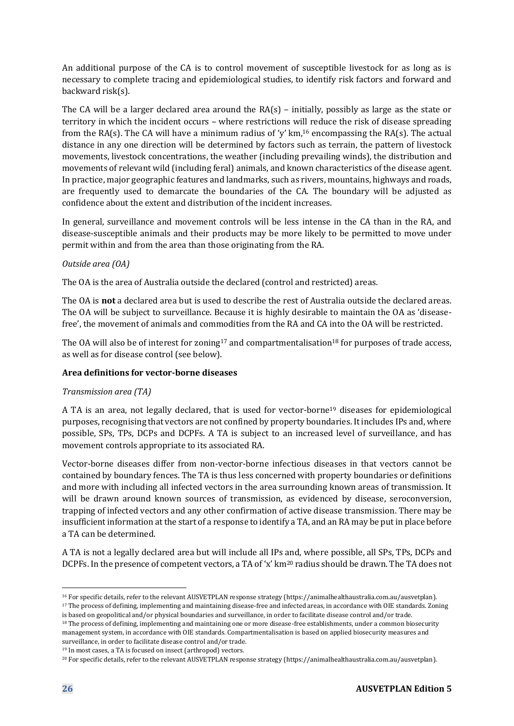An additional purpose of the CA is to control movement of susceptible livestock for as long as is necessary to complete tracing and epidemiological studies, to identify risk factors and forward and backward risk(s).

The CA will be a larger declared area around the RA(s) – initially, possibly as large as the state or territory in which the incident occurs – where restrictions will reduce the risk of disease spreading from the RA(s). The CA will have a minimum radius of 'y'  $km$ <sup>16</sup> encompassing the RA(s). The actual distance in any one direction will be determined by factors such as terrain, the pattern of livestock movements, livestock concentrations, the weather (including prevailing winds), the distribution and movements of relevant wild (including feral) animals, and known characteristics of the disease agent. In practice, major geographic features and landmarks, such as rivers, mountains, highways and roads, are frequently used to demarcate the boundaries of the CA. The boundary will be adjusted as confidence about the extent and distribution of the incident increases.

In general, surveillance and movement controls will be less intense in the CA than in the RA, and disease-susceptible animals and their products may be more likely to be permitted to move under permit within and from the area than those originating from the RA.

### *Outside area (OA)*

The OA is the area of Australia outside the declared (control and restricted) areas.

The OA is **not** a declared area but is used to describe the rest of Australia outside the declared areas. The OA will be subject to surveillance. Because it is highly desirable to maintain the OA as 'diseasefree', the movement of animals and commodities from the RA and CA into the OA will be restricted.

The OA will also be of interest for zoning<sup>17</sup> and compartmentalisation<sup>18</sup> for purposes of trade access, as well as for disease control (see below).

#### **Area definitions for vector-borne diseases**

#### *Transmission area (TA)*

A TA is an area, not legally declared, that is used for vector-borne<sup>19</sup> diseases for epidemiological purposes, recognising that vectors are not confined by property boundaries. It includes IPs and, where possible, SPs, TPs, DCPs and DCPFs. A TA is subject to an increased level of surveillance, and has movement controls appropriate to its associated RA.

Vector-borne diseases differ from non-vector-borne infectious diseases in that vectors cannot be contained by boundary fences. The TA is thus less concerned with property boundaries or definitions and more with including all infected vectors in the area surrounding known areas of transmission. It will be drawn around known sources of transmission, as evidenced by disease, seroconversion, trapping of infected vectors and any other confirmation of active disease transmission. There may be insufficient information at the start of a response to identify a TA, and an RA may be put in place before a TA can be determined.

A TA is not a legally declared area but will include all IPs and, where possible, all SPs, TPs, DCPs and DCPFs. In the presence of competent vectors, a TA of 'x' km<sup>20</sup> radius should be drawn. The TA does not

<sup>19</sup> In most cases, a TA is focused on insect (arthropod) vectors.

<sup>16</sup> For specific details, refer to the relevant AUSVETPLAN response strategy (https://animalhealthaustralia.com.au/ausvetplan).

<sup>&</sup>lt;sup>17</sup> The process of defining, implementing and maintaining disease-free and infected areas, in accordance with OIE standards. Zoning

is based on geopolitical and/or physical boundaries and surveillance, in order to facilitate disease control and/or trade. <sup>18</sup> The process of defining, implementing and maintaining one or more disease-free establishments, under a common biosecurity

management system, in accordance with OIE standards. Compartmentalisation is based on applied biosecurity measures and surveillance, in order to facilitate disease control and/or trade.

<sup>20</sup> For specific details, refer to the relevant AUSVETPLAN response strategy (https://animalhealthaustralia.com.au/ausvetplan).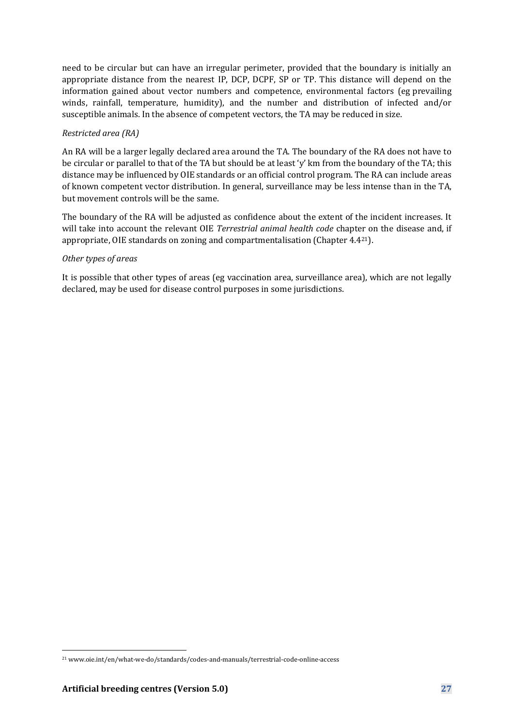need to be circular but can have an irregular perimeter, provided that the boundary is initially an appropriate distance from the nearest IP, DCP, DCPF, SP or TP. This distance will depend on the information gained about vector numbers and competence, environmental factors (eg prevailing winds, rainfall, temperature, humidity), and the number and distribution of infected and/or susceptible animals. In the absence of competent vectors, the TA may be reduced in size.

#### *Restricted area (RA)*

An RA will be a larger legally declared area around the TA. The boundary of the RA does not have to be circular or parallel to that of the TA but should be at least 'y' km from the boundary of the TA; this distance may be influenced by OIE standards or an official control program. The RA can include areas of known competent vector distribution. In general, surveillance may be less intense than in the TA, but movement controls will be the same.

The boundary of the RA will be adjusted as confidence about the extent of the incident increases. It will take into account the relevant OIE *Terrestrial animal health code* chapter on the disease and, if appropriate, OIE standards on zoning and compartmentalisation (Chapter 4.421).

#### *Other types of areas*

It is possible that other types of areas (eg vaccination area, surveillance area), which are not legally declared, may be used for disease control purposes in some jurisdictions.

<sup>21</sup> www.oie.int/en/what-we-do/standards/codes-and-manuals/terrestrial-code-online-access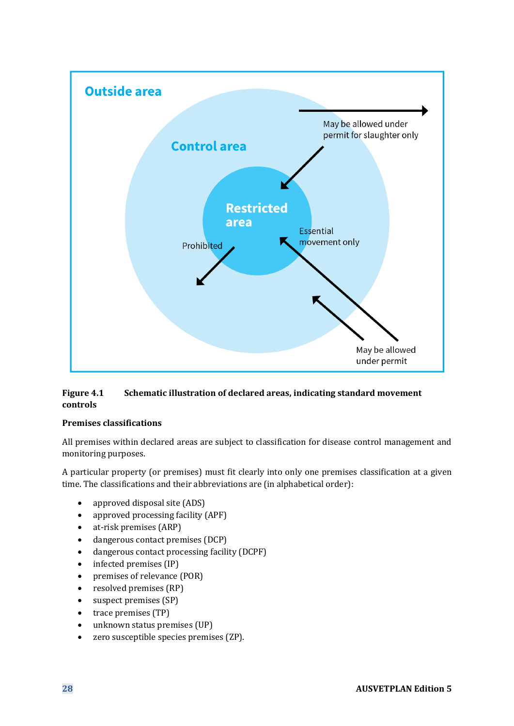

### <span id="page-27-0"></span>**Figure 4.1 Schematic illustration of declared areas, indicating standard movement controls**

### **Premises classifications**

All premises within declared areas are subject to classification for disease control management and monitoring purposes.

A particular property (or premises) must fit clearly into only one premises classification at a given time. The classifications and their abbreviations are (in alphabetical order):

- approved disposal site (ADS)
- approved processing facility (APF)
- at-risk premises (ARP)
- dangerous contact premises (DCP)
- dangerous contact processing facility (DCPF)
- infected premises (IP)
- premises of relevance (POR)
- resolved premises (RP)
- suspect premises (SP)
- trace premises (TP)
- unknown status premises (UP)
- zero susceptible species premises (ZP).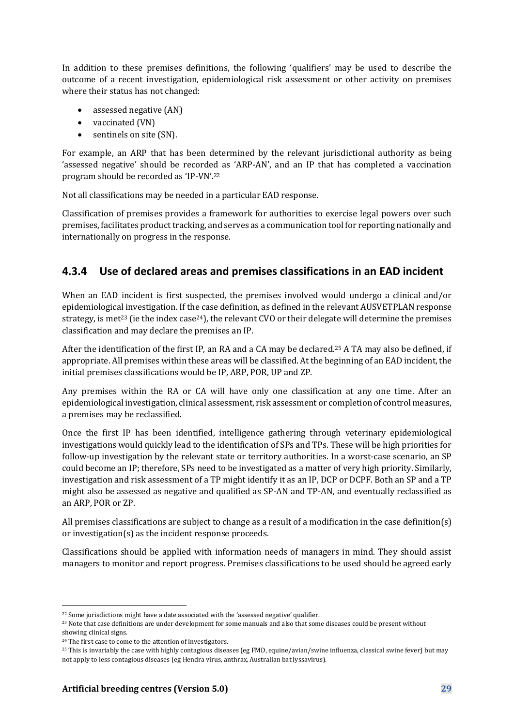In addition to these premises definitions, the following 'qualifiers' may be used to describe the outcome of a recent investigation, epidemiological risk assessment or other activity on premises where their status has not changed:

- assessed negative (AN)
- vaccinated (VN)
- sentinels on site (SN).

For example, an ARP that has been determined by the relevant jurisdictional authority as being 'assessed negative' should be recorded as 'ARP-AN', and an IP that has completed a vaccination program should be recorded as 'IP-VN'.<sup>22</sup>

Not all classifications may be needed in a particular EAD response.

Classification of premises provides a framework for authorities to exercise legal powers over such premises, facilitates product tracking, and serves as a communication tool for reporting nationally and internationally on progress in the response.

### **4.3.4 Use of declared areas and premises classifications in an EAD incident**

When an EAD incident is first suspected, the premises involved would undergo a clinical and/or epidemiological investigation. If the case definition, as defined in the relevant AUSVETPLAN response strategy, is met<sup>23</sup> (ie the index case<sup>24</sup>), the relevant CVO or their delegate will determine the premises classification and may declare the premises an IP.

After the identification of the first IP, an RA and a CA may be declared.<sup>25</sup> A TA may also be defined, if appropriate. All premises within these areas will be classified. At the beginning of an EAD incident, the initial premises classifications would be IP, ARP, POR, UP and ZP.

Any premises within the RA or CA will have only one classification at any one time. After an epidemiological investigation, clinical assessment, risk assessment or completion of control measures, a premises may be reclassified.

Once the first IP has been identified, intelligence gathering through veterinary epidemiological investigations would quickly lead to the identification of SPs and TPs. These will be high priorities for follow-up investigation by the relevant state or territory authorities. In a worst-case scenario, an SP could become an IP; therefore, SPs need to be investigated as a matter of very high priority. Similarly, investigation and risk assessment of a TP might identify it as an IP, DCP or DCPF. Both an SP and a TP might also be assessed as negative and qualified as SP-AN and TP-AN, and eventually reclassified as an ARP, POR or ZP.

All premises classifications are subject to change as a result of a modification in the case definition(s) or investigation(s) as the incident response proceeds.

Classifications should be applied with information needs of managers in mind. They should assist managers to monitor and report progress. Premises classifications to be used should be agreed early

<sup>22</sup> Some jurisdictions might have a date associated with the 'assessed negative' qualifier.

<sup>&</sup>lt;sup>23</sup> Note that case definitions are under development for some manuals and also that some diseases could be present without showing clinical signs.

<sup>&</sup>lt;sup>24</sup> The first case to come to the attention of investigators.

<sup>&</sup>lt;sup>25</sup> This is invariably the case with highly contagious diseases (eg FMD, equine/avian/swine influenza, classical swine fever) but may not apply to less contagious diseases (eg Hendra virus, anthrax, Australian bat lyssavirus).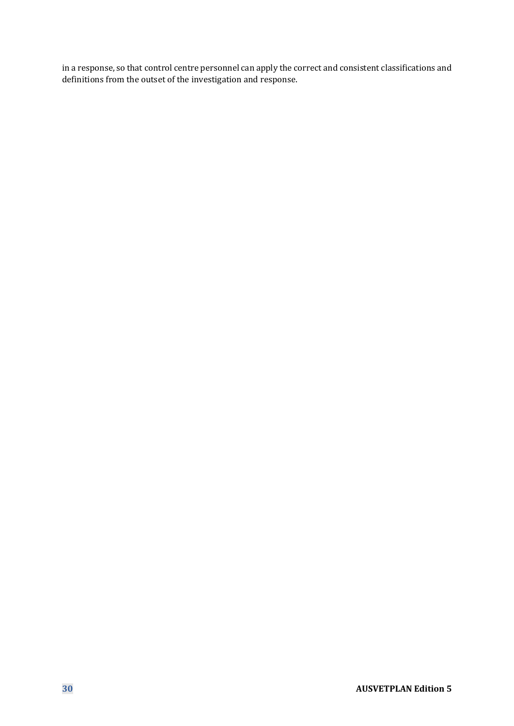in a response, so that control centre personnel can apply the correct and consistent classifications and definitions from the outset of the investigation and response.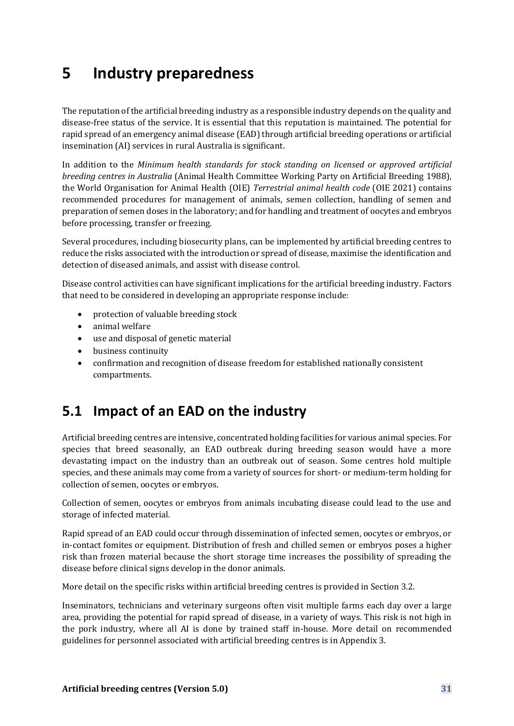# **5 Industry preparedness**

The reputation of the artificial breeding industry as a responsible industry depends on the quality and disease-free status of the service. It is essential that this reputation is maintained. The potential for rapid spread of an emergency animal disease (EAD) through artificial breeding operations or artificial insemination (AI) services in rural Australia is significant.

In addition to the *Minimum health standards for stock standing on licensed or approved artificial breeding centres in Australia* (Animal Health Committee Working Party on Artificial Breeding 1988), the World Organisation for Animal Health (OIE) *Terrestrial animal health code* (OIE 2021) contains recommended procedures for management of animals, semen collection, handling of semen and preparation of semen doses in the laboratory; and for handling and treatment of oocytes and embryos before processing, transfer or freezing.

Several procedures, including biosecurity plans, can be implemented by artificial breeding centres to reduce the risks associated with the introduction or spread of disease, maximise the identification and detection of diseased animals, and assist with disease control.

Disease control activities can have significant implications for the artificial breeding industry. Factors that need to be considered in developing an appropriate response include:

- protection of valuable breeding stock
- animal welfare
- use and disposal of genetic material
- business continuity
- confirmation and recognition of disease freedom for established nationally consistent compartments.

## **5.1 Impact of an EAD on the industry**

Artificial breeding centres are intensive, concentrated holding facilities for various animal species. For species that breed seasonally, an EAD outbreak during breeding season would have a more devastating impact on the industry than an outbreak out of season. Some centres hold multiple species, and these animals may come from a variety of sources for short- or medium-term holding for collection of semen, oocytes or embryos.

Collection of semen, oocytes or embryos from animals incubating disease could lead to the use and storage of infected material.

Rapid spread of an EAD could occur through dissemination of infected semen, oocytes or embryos, or in-contact fomites or equipment. Distribution of fresh and chilled semen or embryos poses a higher risk than frozen material because the short storage time increases the possibility of spreading the disease before clinical signs develop in the donor animals.

More detail on the specific risks within artificial breeding centres is provided in Section 3.2.

Inseminators, technicians and veterinary surgeons often visit multiple farms each day over a large area, providing the potential for rapid spread of disease, in a variety of ways. This risk is not high in the pork industry, where all AI is done by trained staff in-house. More detail on recommended guidelines for personnel associated with artificial breeding centres is in Appendix 3.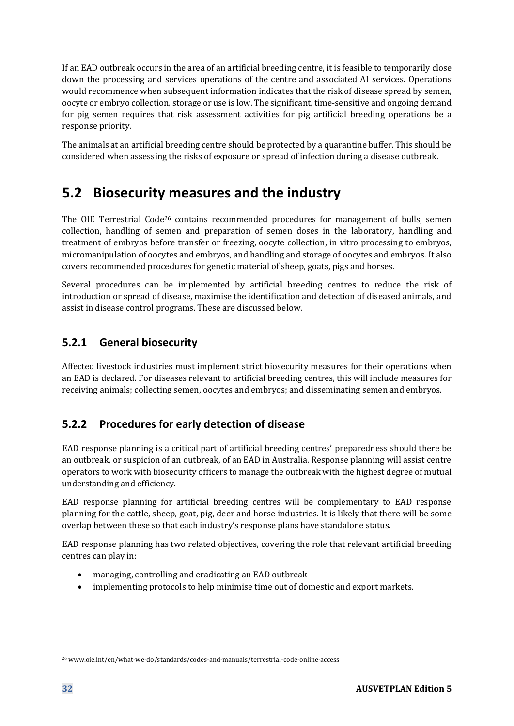If an EAD outbreak occurs in the area of an artificial breeding centre, it is feasible to temporarily close down the processing and services operations of the centre and associated AI services. Operations would recommence when subsequent information indicates that the risk of disease spread by semen, oocyte or embryo collection, storage or use is low. The significant, time-sensitive and ongoing demand for pig semen requires that risk assessment activities for pig artificial breeding operations be a response priority.

The animals at an artificial breeding centre should be protected by a quarantine buffer. This should be considered when assessing the risks of exposure or spread of infection during a disease outbreak.

## **5.2 Biosecurity measures and the industry**

The OIE Terrestrial Code<sup>26</sup> contains recommended procedures for management of bulls, semen collection, handling of semen and preparation of semen doses in the laboratory, handling and treatment of embryos before transfer or freezing, oocyte collection, in vitro processing to embryos, micromanipulation of oocytes and embryos, and handling and storage of oocytes and embryos. It also covers recommended procedures for genetic material of sheep, goats, pigs and horses.

Several procedures can be implemented by artificial breeding centres to reduce the risk of introduction or spread of disease, maximise the identification and detection of diseased animals, and assist in disease control programs. These are discussed below.

## **5.2.1 General biosecurity**

Affected livestock industries must implement strict biosecurity measures for their operations when an EAD is declared. For diseases relevant to artificial breeding centres, this will include measures for receiving animals; collecting semen, oocytes and embryos; and disseminating semen and embryos.

## **5.2.2 Procedures for early detection of disease**

EAD response planning is a critical part of artificial breeding centres' preparedness should there be an outbreak, or suspicion of an outbreak, of an EAD in Australia. Response planning will assist centre operators to work with biosecurity officers to manage the outbreak with the highest degree of mutual understanding and efficiency.

EAD response planning for artificial breeding centres will be complementary to EAD response planning for the cattle, sheep, goat, pig, deer and horse industries. It is likely that there will be some overlap between these so that each industry's response plans have standalone status.

EAD response planning has two related objectives, covering the role that relevant artificial breeding centres can play in:

- managing, controlling and eradicating an EAD outbreak
- implementing protocols to help minimise time out of domestic and export markets.

<sup>26</sup> www.oie.int/en/what-we-do/standards/codes-and-manuals/terrestrial-code-online-access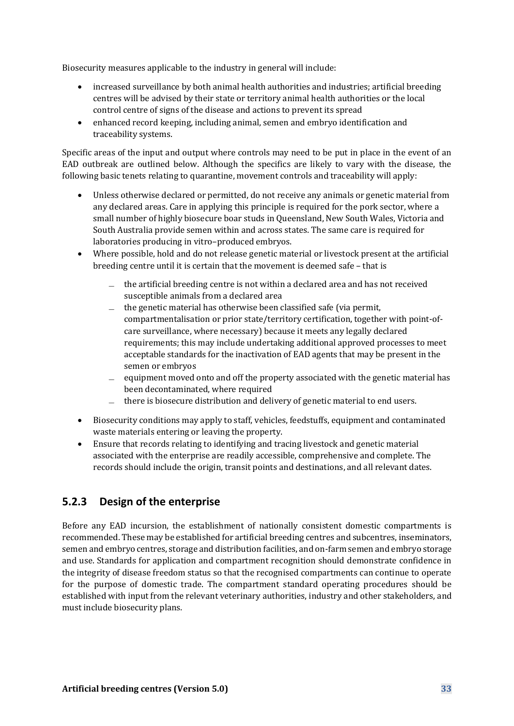Biosecurity measures applicable to the industry in general will include:

- increased surveillance by both animal health authorities and industries; artificial breeding centres will be advised by their state or territory animal health authorities or the local control centre of signs of the disease and actions to prevent its spread
- enhanced record keeping, including animal, semen and embryo identification and traceability systems.

Specific areas of the input and output where controls may need to be put in place in the event of an EAD outbreak are outlined below. Although the specifics are likely to vary with the disease, the following basic tenets relating to quarantine, movement controls and traceability will apply:

- Unless otherwise declared or permitted, do not receive any animals or genetic material from any declared areas. Care in applying this principle is required for the pork sector, where a small number of highly biosecure boar studs in Queensland, New South Wales, Victoria and South Australia provide semen within and across states. The same care is required for laboratories producing in vitro–produced embryos.
- Where possible, hold and do not release genetic material or livestock present at the artificial breeding centre until it is certain that the movement is deemed safe – that is
	- ̶ the artificial breeding centre is not within a declared area and has not received susceptible animals from a declared area
	- ̶ the genetic material has otherwise been classified safe (via permit, compartmentalisation or prior state/territory certification, together with point-ofcare surveillance, where necessary) because it meets any legally declared requirements; this may include undertaking additional approved processes to meet acceptable standards for the inactivation of EAD agents that may be present in the semen or embryos
	- $\equiv$  equipment moved onto and off the property associated with the genetic material has been decontaminated, where required
	- ̶ there is biosecure distribution and delivery of genetic material to end users.
- Biosecurity conditions may apply to staff, vehicles, feedstuffs, equipment and contaminated waste materials entering or leaving the property.
- Ensure that records relating to identifying and tracing livestock and genetic material associated with the enterprise are readily accessible, comprehensive and complete. The records should include the origin, transit points and destinations, and all relevant dates.

### **5.2.3 Design of the enterprise**

Before any EAD incursion, the establishment of nationally consistent domestic compartments is recommended. These may be established for artificial breeding centres and subcentres, inseminators, semen and embryo centres, storage and distribution facilities, and on-farm semen and embryo storage and use. Standards for application and compartment recognition should demonstrate confidence in the integrity of disease freedom status so that the recognised compartments can continue to operate for the purpose of domestic trade. The compartment standard operating procedures should be established with input from the relevant veterinary authorities, industry and other stakeholders, and must include biosecurity plans.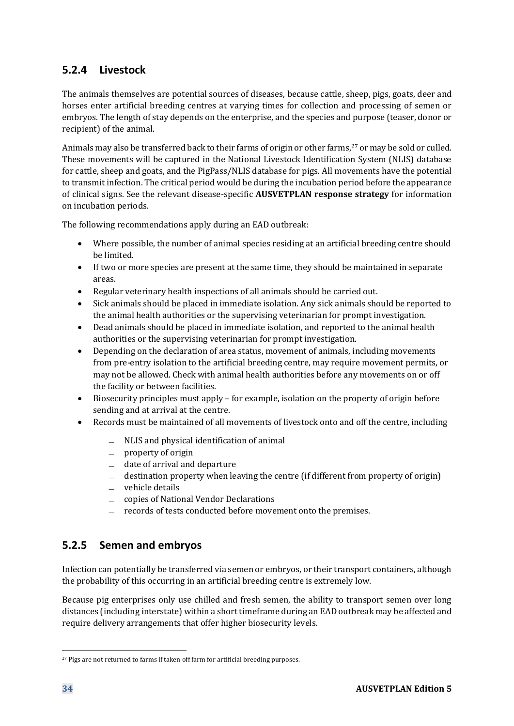## **5.2.4 Livestock**

The animals themselves are potential sources of diseases, because cattle, sheep, pigs, goats, deer and horses enter artificial breeding centres at varying times for collection and processing of semen or embryos. The length of stay depends on the enterprise, and the species and purpose (teaser, donor or recipient) of the animal.

Animals may also be transferred back to their farms of origin or other farms,<sup>27</sup> or may be sold or culled. These movements will be captured in the National Livestock Identification System (NLIS) database for cattle, sheep and goats, and the PigPass/NLIS database for pigs. All movements have the potential to transmit infection. The critical period would be during the incubation period before the appearance of clinical signs. See the relevant disease-specific **AUSVETPLAN response strategy** for information on incubation periods.

The following recommendations apply during an EAD outbreak:

- Where possible, the number of animal species residing at an artificial breeding centre should be limited.
- If two or more species are present at the same time, they should be maintained in separate areas.
- Regular veterinary health inspections of all animals should be carried out.
- Sick animals should be placed in immediate isolation. Any sick animals should be reported to the animal health authorities or the supervising veterinarian for prompt investigation.
- Dead animals should be placed in immediate isolation, and reported to the animal health authorities or the supervising veterinarian for prompt investigation.
- Depending on the declaration of area status, movement of animals, including movements from pre-entry isolation to the artificial breeding centre, may require movement permits, or may not be allowed. Check with animal health authorities before any movements on or off the facility or between facilities.
- Biosecurity principles must apply for example, isolation on the property of origin before sending and at arrival at the centre.
- Records must be maintained of all movements of livestock onto and off the centre, including
	- ̶ NLIS and physical identification of animal
	- ̶ property of origin
	- ̶ date of arrival and departure
	- $\equiv$  destination property when leaving the centre (if different from property of origin)
	- ̶ vehicle details
	- ̶ copies of National Vendor Declarations
	- records of tests conducted before movement onto the premises.

### **5.2.5 Semen and embryos**

Infection can potentially be transferred via semen or embryos, or their transport containers, although the probability of this occurring in an artificial breeding centre is extremely low.

Because pig enterprises only use chilled and fresh semen, the ability to transport semen over long distances (including interstate) within a short timeframe during an EAD outbreak may be affected and require delivery arrangements that offer higher biosecurity levels.

<sup>&</sup>lt;sup>27</sup> Pigs are not returned to farms if taken off farm for artificial breeding purposes.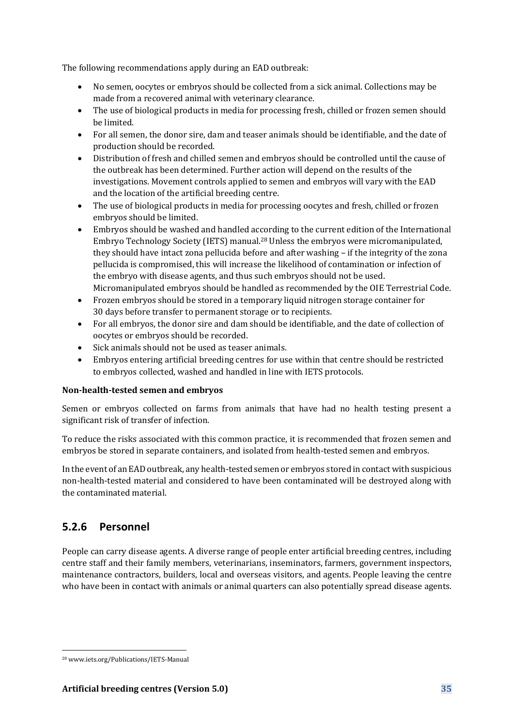The following recommendations apply during an EAD outbreak:

- No semen, oocytes or embryos should be collected from a sick animal. Collections may be made from a recovered animal with veterinary clearance.
- The use of biological products in media for processing fresh, chilled or frozen semen should be limited.
- For all semen, the donor sire, dam and teaser animals should be identifiable, and the date of production should be recorded.
- Distribution of fresh and chilled semen and embryos should be controlled until the cause of the outbreak has been determined. Further action will depend on the results of the investigations. Movement controls applied to semen and embryos will vary with the EAD and the location of the artificial breeding centre.
- The use of biological products in media for processing oocytes and fresh, chilled or frozen embryos should be limited.
- Embryos should be washed and handled according to the current edition of the International Embryo Technology Society (IETS) manual.<sup>28</sup> Unless the embryos were micromanipulated, they should have intact zona pellucida before and after washing – if the integrity of the zona pellucida is compromised, this will increase the likelihood of contamination or infection of the embryo with disease agents, and thus such embryos should not be used. Micromanipulated embryos should be handled as recommended by the OIE Terrestrial Code.
- Frozen embryos should be stored in a temporary liquid nitrogen storage container for 30 days before transfer to permanent storage or to recipients.
- For all embryos, the donor sire and dam should be identifiable, and the date of collection of oocytes or embryos should be recorded.
- Sick animals should not be used as teaser animals.
- Embryos entering artificial breeding centres for use within that centre should be restricted to embryos collected, washed and handled in line with IETS protocols.

### **Non-health-tested semen and embryos**

Semen or embryos collected on farms from animals that have had no health testing present a significant risk of transfer of infection.

To reduce the risks associated with this common practice, it is recommended that frozen semen and embryos be stored in separate containers, and isolated from health-tested semen and embryos.

In the event of an EAD outbreak, any health-tested semen or embryos stored in contact with suspicious non-health-tested material and considered to have been contaminated will be destroyed along with the contaminated material.

### **5.2.6 Personnel**

People can carry disease agents. A diverse range of people enter artificial breeding centres, including centre staff and their family members, veterinarians, inseminators, farmers, government inspectors, maintenance contractors, builders, local and overseas visitors, and agents. People leaving the centre who have been in contact with animals or animal quarters can also potentially spread disease agents.

<sup>28</sup> www.iets.org/Publications/IETS-Manual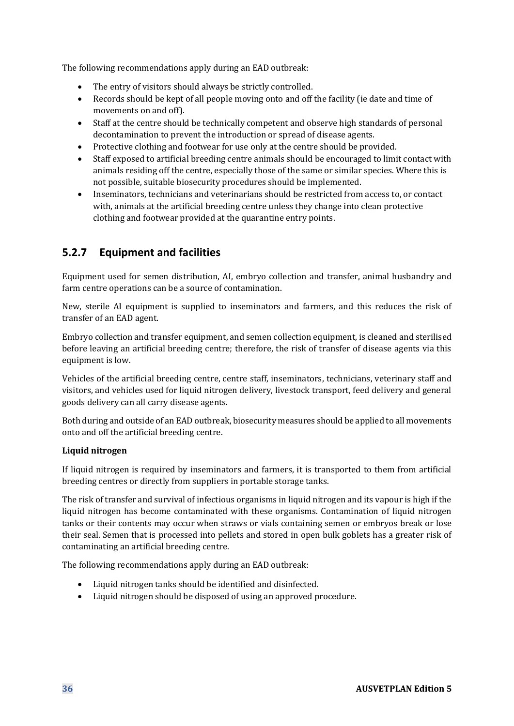The following recommendations apply during an EAD outbreak:

- The entry of visitors should always be strictly controlled.
- Records should be kept of all people moving onto and off the facility (ie date and time of movements on and off).
- Staff at the centre should be technically competent and observe high standards of personal decontamination to prevent the introduction or spread of disease agents.
- Protective clothing and footwear for use only at the centre should be provided.
- Staff exposed to artificial breeding centre animals should be encouraged to limit contact with animals residing off the centre, especially those of the same or similar species. Where this is not possible, suitable biosecurity procedures should be implemented.
- Inseminators, technicians and veterinarians should be restricted from access to, or contact with, animals at the artificial breeding centre unless they change into clean protective clothing and footwear provided at the quarantine entry points.

## **5.2.7 Equipment and facilities**

Equipment used for semen distribution, AI, embryo collection and transfer, animal husbandry and farm centre operations can be a source of contamination.

New, sterile AI equipment is supplied to inseminators and farmers, and this reduces the risk of transfer of an EAD agent.

Embryo collection and transfer equipment, and semen collection equipment, is cleaned and sterilised before leaving an artificial breeding centre; therefore, the risk of transfer of disease agents via this equipment is low.

Vehicles of the artificial breeding centre, centre staff, inseminators, technicians, veterinary staff and visitors, and vehicles used for liquid nitrogen delivery, livestock transport, feed delivery and general goods delivery can all carry disease agents.

Both during and outside of an EAD outbreak, biosecurity measures should be applied to all movements onto and off the artificial breeding centre.

### **Liquid nitrogen**

If liquid nitrogen is required by inseminators and farmers, it is transported to them from artificial breeding centres or directly from suppliers in portable storage tanks.

The risk of transfer and survival of infectious organisms in liquid nitrogen and its vapour is high if the liquid nitrogen has become contaminated with these organisms. Contamination of liquid nitrogen tanks or their contents may occur when straws or vials containing semen or embryos break or lose their seal. Semen that is processed into pellets and stored in open bulk goblets has a greater risk of contaminating an artificial breeding centre.

The following recommendations apply during an EAD outbreak:

- Liquid nitrogen tanks should be identified and disinfected.
- Liquid nitrogen should be disposed of using an approved procedure.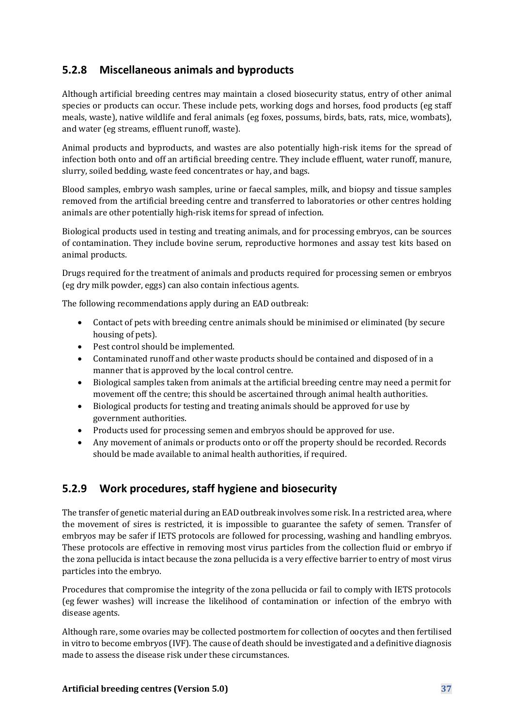## **5.2.8 Miscellaneous animals and byproducts**

Although artificial breeding centres may maintain a closed biosecurity status, entry of other animal species or products can occur. These include pets, working dogs and horses, food products (eg staff meals, waste), native wildlife and feral animals (eg foxes, possums, birds, bats, rats, mice, wombats), and water (eg streams, effluent runoff, waste).

Animal products and byproducts, and wastes are also potentially high-risk items for the spread of infection both onto and off an artificial breeding centre. They include effluent, water runoff, manure, slurry, soiled bedding, waste feed concentrates or hay, and bags.

Blood samples, embryo wash samples, urine or faecal samples, milk, and biopsy and tissue samples removed from the artificial breeding centre and transferred to laboratories or other centres holding animals are other potentially high-risk items for spread of infection.

Biological products used in testing and treating animals, and for processing embryos, can be sources of contamination. They include bovine serum, reproductive hormones and assay test kits based on animal products.

Drugs required for the treatment of animals and products required for processing semen or embryos (eg dry milk powder, eggs) can also contain infectious agents.

The following recommendations apply during an EAD outbreak:

- Contact of pets with breeding centre animals should be minimised or eliminated (by secure housing of pets).
- Pest control should be implemented.
- Contaminated runoff and other waste products should be contained and disposed of in a manner that is approved by the local control centre.
- Biological samples taken from animals at the artificial breeding centre may need a permit for movement off the centre; this should be ascertained through animal health authorities.
- Biological products for testing and treating animals should be approved for use by government authorities.
- Products used for processing semen and embryos should be approved for use.
- Any movement of animals or products onto or off the property should be recorded. Records should be made available to animal health authorities, if required.

### **5.2.9 Work procedures, staff hygiene and biosecurity**

The transfer of genetic material during an EAD outbreak involves some risk. In a restricted area, where the movement of sires is restricted, it is impossible to guarantee the safety of semen. Transfer of embryos may be safer if IETS protocols are followed for processing, washing and handling embryos. These protocols are effective in removing most virus particles from the collection fluid or embryo if the zona pellucida is intact because the zona pellucida is a very effective barrier to entry of most virus particles into the embryo.

Procedures that compromise the integrity of the zona pellucida or fail to comply with IETS protocols (eg fewer washes) will increase the likelihood of contamination or infection of the embryo with disease agents.

Although rare, some ovaries may be collected postmortem for collection of oocytes and then fertilised in vitro to become embryos (IVF). The cause of death should be investigated and a definitive diagnosis made to assess the disease risk under these circumstances.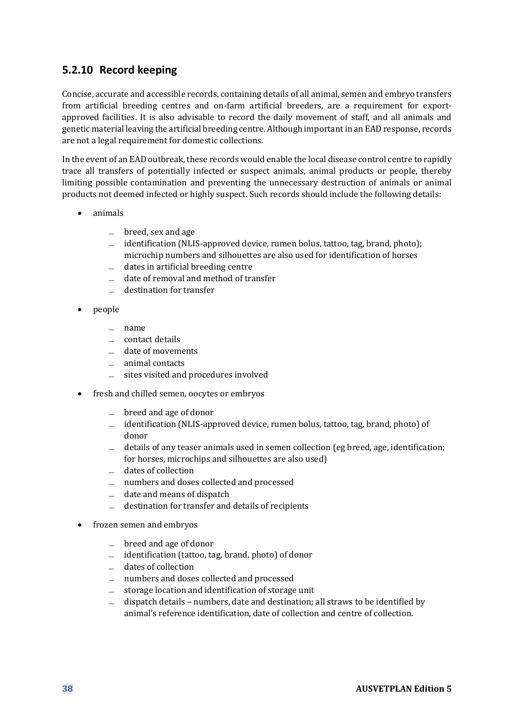### **5.2.10 Record keeping**

Concise, accurate and accessible records, containing details of all animal, semen and embryo transfers from artificial breeding centres and on-farm artificial breeders, are a requirement for exportapproved facilities. It is also advisable to record the daily movement of staff, and all animals and genetic material leaving the artificial breeding centre. Although important in an EAD response, records are not a legal requirement for domestic collections.

In the event of an EAD outbreak, these records would enable the local disease control centre to rapidly trace all transfers of potentially infected or suspect animals, animal products or people, thereby limiting possible contamination and preventing the unnecessary destruction of animals or animal products not deemed infected or highly suspect. Such records should include the following details:

- animals
	- $\equiv$  breed, sex and age
	- ̶ identification (NLIS-approved device, rumen bolus, tattoo, tag, brand, photo); microchip numbers and silhouettes are also used for identification of horses
	- $\equiv$  dates in artificial breeding centre
	- ̶ date of removal and method of transfer
	- ̶ destination for transfer
- people
	- ̶ name
	- ̶ contact details
	- ̶ date of movements
	- ̶ animal contacts
	- ̶ sites visited and procedures involved
- fresh and chilled semen, oocytes or embryos
	- ̶ breed and age of donor
	- ̶ identification (NLIS-approved device, rumen bolus, tattoo, tag, brand, photo) of donor
	- $\equiv$  details of any teaser animals used in semen collection (eg breed, age, identification; for horses, microchips and silhouettes are also used)
	- ̶ dates of collection
	- ̶ numbers and doses collected and processed
	- ̶ date and means of dispatch
	- ̶ destination for transfer and details of recipients
- frozen semen and embryos
	- ̶ breed and age of donor
	- ̶ identification (tattoo, tag, brand, photo) of donor
	- ̶ dates of collection
	- ̶ numbers and doses collected and processed
	- ̶ storage location and identification of storage unit
	- ̶ dispatch details numbers, date and destination; all straws to be identified by animal's reference identification, date of collection and centre of collection.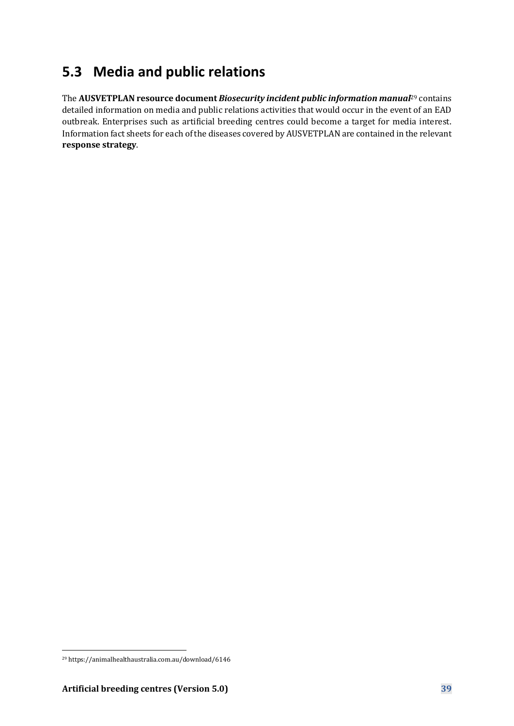## **5.3 Media and public relations**

The **AUSVETPLAN resource document** *Biosecurity incident public information manual*<sup>29</sup> contains detailed information on media and public relations activities that would occur in the event of an EAD outbreak. Enterprises such as artificial breeding centres could become a target for media interest. Information fact sheets for each of the diseases covered by AUSVETPLAN are contained in the relevant **response strategy**.

<sup>29</sup> https://animalhealthaustralia.com.au/download/6146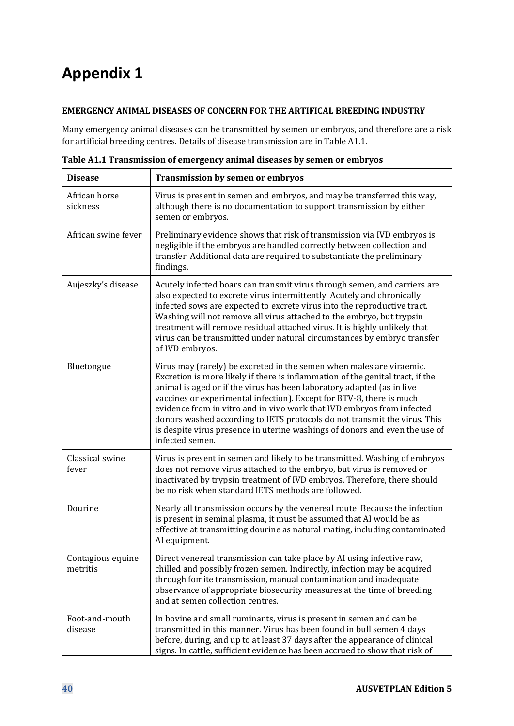# **Appendix 1**

### **EMERGENCY ANIMAL DISEASES OF CONCERN FOR THE ARTIFICAL BREEDING INDUSTRY**

Many emergency animal diseases can be transmitted by semen or embryos, and therefore are a risk for artificial breeding centres. Details of disease transmission are in Table A1.1.

| <b>Disease</b>                | <b>Transmission by semen or embryos</b>                                                                                                                                                                                                                                                                                                                                                                                                                                                                                                                           |
|-------------------------------|-------------------------------------------------------------------------------------------------------------------------------------------------------------------------------------------------------------------------------------------------------------------------------------------------------------------------------------------------------------------------------------------------------------------------------------------------------------------------------------------------------------------------------------------------------------------|
| African horse<br>sickness     | Virus is present in semen and embryos, and may be transferred this way,<br>although there is no documentation to support transmission by either<br>semen or embryos.                                                                                                                                                                                                                                                                                                                                                                                              |
| African swine fever           | Preliminary evidence shows that risk of transmission via IVD embryos is<br>negligible if the embryos are handled correctly between collection and<br>transfer. Additional data are required to substantiate the preliminary<br>findings.                                                                                                                                                                                                                                                                                                                          |
| Aujeszky's disease            | Acutely infected boars can transmit virus through semen, and carriers are<br>also expected to excrete virus intermittently. Acutely and chronically<br>infected sows are expected to excrete virus into the reproductive tract.<br>Washing will not remove all virus attached to the embryo, but trypsin<br>treatment will remove residual attached virus. It is highly unlikely that<br>virus can be transmitted under natural circumstances by embryo transfer<br>of IVD embryos.                                                                               |
| Bluetongue                    | Virus may (rarely) be excreted in the semen when males are viraemic.<br>Excretion is more likely if there is inflammation of the genital tract, if the<br>animal is aged or if the virus has been laboratory adapted (as in live<br>vaccines or experimental infection). Except for BTV-8, there is much<br>evidence from in vitro and in vivo work that IVD embryos from infected<br>donors washed according to IETS protocols do not transmit the virus. This<br>is despite virus presence in uterine washings of donors and even the use of<br>infected semen. |
| Classical swine<br>fever      | Virus is present in semen and likely to be transmitted. Washing of embryos<br>does not remove virus attached to the embryo, but virus is removed or<br>inactivated by trypsin treatment of IVD embryos. Therefore, there should<br>be no risk when standard IETS methods are followed.                                                                                                                                                                                                                                                                            |
| Dourine                       | Nearly all transmission occurs by the venereal route. Because the infection<br>is present in seminal plasma, it must be assumed that AI would be as<br>effective at transmitting dourine as natural mating, including contaminated<br>AI equipment.                                                                                                                                                                                                                                                                                                               |
| Contagious equine<br>metritis | Direct venereal transmission can take place by AI using infective raw,<br>chilled and possibly frozen semen. Indirectly, infection may be acquired<br>through fomite transmission, manual contamination and inadequate<br>observance of appropriate biosecurity measures at the time of breeding<br>and at semen collection centres.                                                                                                                                                                                                                              |
| Foot-and-mouth<br>disease     | In bovine and small ruminants, virus is present in semen and can be<br>transmitted in this manner. Virus has been found in bull semen 4 days<br>before, during, and up to at least 37 days after the appearance of clinical<br>signs. In cattle, sufficient evidence has been accrued to show that risk of                                                                                                                                                                                                                                                        |

<span id="page-39-0"></span>**Table A1.1 Transmission of emergency animal diseases by semen or embryos**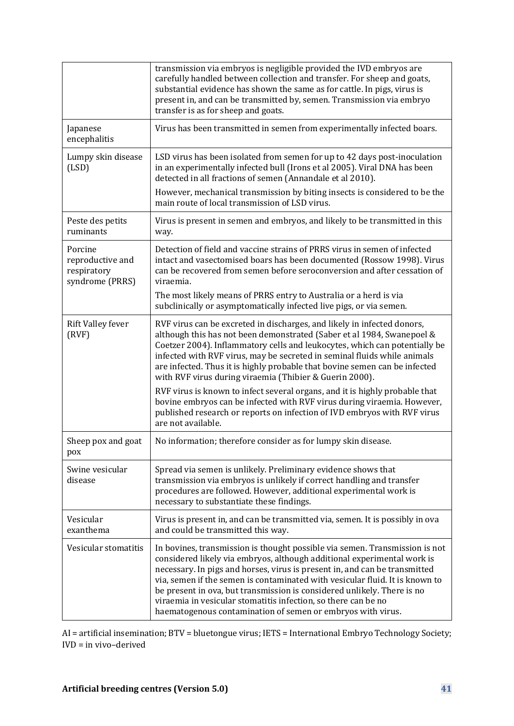|                                                               | transmission via embryos is negligible provided the IVD embryos are<br>carefully handled between collection and transfer. For sheep and goats,<br>substantial evidence has shown the same as for cattle. In pigs, virus is<br>present in, and can be transmitted by, semen. Transmission via embryo<br>transfer is as for sheep and goats.                                                                                                                                                                                       |
|---------------------------------------------------------------|----------------------------------------------------------------------------------------------------------------------------------------------------------------------------------------------------------------------------------------------------------------------------------------------------------------------------------------------------------------------------------------------------------------------------------------------------------------------------------------------------------------------------------|
| Japanese<br>encephalitis                                      | Virus has been transmitted in semen from experimentally infected boars.                                                                                                                                                                                                                                                                                                                                                                                                                                                          |
| Lumpy skin disease<br>(LSD)                                   | LSD virus has been isolated from semen for up to 42 days post-inoculation<br>in an experimentally infected bull (Irons et al 2005). Viral DNA has been<br>detected in all fractions of semen (Annandale et al 2010).                                                                                                                                                                                                                                                                                                             |
|                                                               | However, mechanical transmission by biting insects is considered to be the<br>main route of local transmission of LSD virus.                                                                                                                                                                                                                                                                                                                                                                                                     |
| Peste des petits<br>ruminants                                 | Virus is present in semen and embryos, and likely to be transmitted in this<br>way.                                                                                                                                                                                                                                                                                                                                                                                                                                              |
| Porcine<br>reproductive and<br>respiratory<br>syndrome (PRRS) | Detection of field and vaccine strains of PRRS virus in semen of infected<br>intact and vasectomised boars has been documented (Rossow 1998). Virus<br>can be recovered from semen before seroconversion and after cessation of<br>viraemia.                                                                                                                                                                                                                                                                                     |
|                                                               | The most likely means of PRRS entry to Australia or a herd is via<br>subclinically or asymptomatically infected live pigs, or via semen.                                                                                                                                                                                                                                                                                                                                                                                         |
| <b>Rift Valley fever</b><br>(RVF)                             | RVF virus can be excreted in discharges, and likely in infected donors,<br>although this has not been demonstrated (Saber et al 1984, Swanepoel &<br>Coetzer 2004). Inflammatory cells and leukocytes, which can potentially be<br>infected with RVF virus, may be secreted in seminal fluids while animals<br>are infected. Thus it is highly probable that bovine semen can be infected<br>with RVF virus during viraemia (Thibier & Guerin 2000).                                                                             |
|                                                               | RVF virus is known to infect several organs, and it is highly probable that<br>bovine embryos can be infected with RVF virus during viraemia. However,<br>published research or reports on infection of IVD embryos with RVF virus<br>are not available.                                                                                                                                                                                                                                                                         |
| Sheep pox and goat<br>pox                                     | No information; therefore consider as for lumpy skin disease.                                                                                                                                                                                                                                                                                                                                                                                                                                                                    |
| Swine vesicular<br>disease                                    | Spread via semen is unlikely. Preliminary evidence shows that<br>transmission via embryos is unlikely if correct handling and transfer<br>procedures are followed. However, additional experimental work is<br>necessary to substantiate these findings.                                                                                                                                                                                                                                                                         |
| Vesicular<br>exanthema                                        | Virus is present in, and can be transmitted via, semen. It is possibly in ova<br>and could be transmitted this way.                                                                                                                                                                                                                                                                                                                                                                                                              |
| Vesicular stomatitis                                          | In bovines, transmission is thought possible via semen. Transmission is not<br>considered likely via embryos, although additional experimental work is<br>necessary. In pigs and horses, virus is present in, and can be transmitted<br>via, semen if the semen is contaminated with vesicular fluid. It is known to<br>be present in ova, but transmission is considered unlikely. There is no<br>viraemia in vesicular stomatitis infection, so there can be no<br>haematogenous contamination of semen or embryos with virus. |

AI = artificial insemination; BTV = bluetongue virus; IETS = International Embryo Technology Society; IVD = in vivo–derived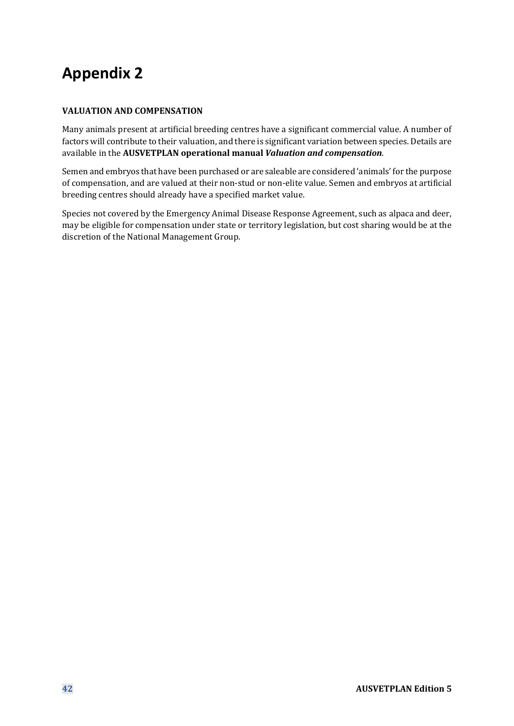# **Appendix 2**

### **VALUATION AND COMPENSATION**

Many animals present at artificial breeding centres have a significant commercial value. A number of factors will contribute to their valuation, and there is significant variation between species. Details are available in the **AUSVETPLAN operational manual** *Valuation and compensation*.

Semen and embryos that have been purchased or are saleable are considered 'animals' for the purpose of compensation, and are valued at their non-stud or non-elite value. Semen and embryos at artificial breeding centres should already have a specified market value.

Species not covered by the Emergency Animal Disease Response Agreement, such as alpaca and deer, may be eligible for compensation under state or territory legislation, but cost sharing would be at the discretion of the National Management Group.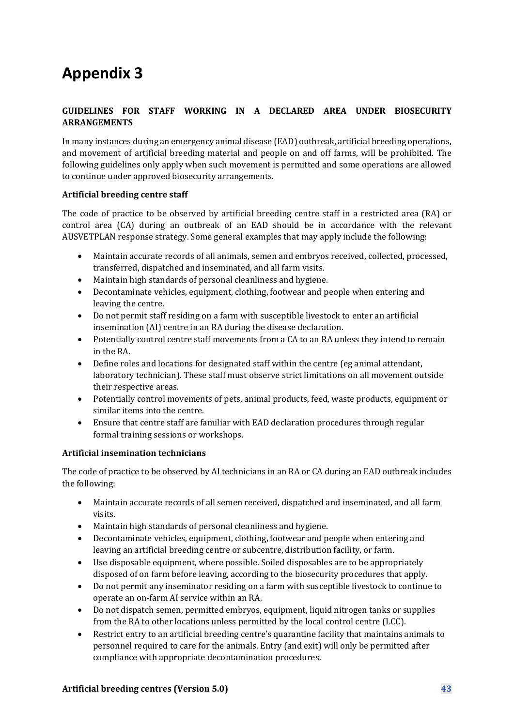# **Appendix 3**

### **GUIDELINES FOR STAFF WORKING IN A DECLARED AREA UNDER BIOSECURITY ARRANGEMENTS**

In many instances during an emergency animal disease (EAD) outbreak, artificial breeding operations, and movement of artificial breeding material and people on and off farms, will be prohibited. The following guidelines only apply when such movement is permitted and some operations are allowed to continue under approved biosecurity arrangements.

#### **Artificial breeding centre staff**

The code of practice to be observed by artificial breeding centre staff in a restricted area (RA) or control area (CA) during an outbreak of an EAD should be in accordance with the relevant AUSVETPLAN response strategy. Some general examples that may apply include the following:

- Maintain accurate records of all animals, semen and embryos received, collected, processed, transferred, dispatched and inseminated, and all farm visits.
- Maintain high standards of personal cleanliness and hygiene.
- Decontaminate vehicles, equipment, clothing, footwear and people when entering and leaving the centre.
- Do not permit staff residing on a farm with susceptible livestock to enter an artificial insemination (AI) centre in an RA during the disease declaration.
- Potentially control centre staff movements from a CA to an RA unless they intend to remain in the RA.
- Define roles and locations for designated staff within the centre (eg animal attendant, laboratory technician). These staff must observe strict limitations on all movement outside their respective areas.
- Potentially control movements of pets, animal products, feed, waste products, equipment or similar items into the centre.
- Ensure that centre staff are familiar with EAD declaration procedures through regular formal training sessions or workshops.

#### **Artificial insemination technicians**

The code of practice to be observed by AI technicians in an RA or CA during an EAD outbreak includes the following:

- Maintain accurate records of all semen received, dispatched and inseminated, and all farm visits.
- Maintain high standards of personal cleanliness and hygiene.
- Decontaminate vehicles, equipment, clothing, footwear and people when entering and leaving an artificial breeding centre or subcentre, distribution facility, or farm.
- Use disposable equipment, where possible. Soiled disposables are to be appropriately disposed of on farm before leaving, according to the biosecurity procedures that apply.
- Do not permit any inseminator residing on a farm with susceptible livestock to continue to operate an on-farm AI service within an RA.
- Do not dispatch semen, permitted embryos, equipment, liquid nitrogen tanks or supplies from the RA to other locations unless permitted by the local control centre (LCC).
- Restrict entry to an artificial breeding centre's quarantine facility that maintains animals to personnel required to care for the animals. Entry (and exit) will only be permitted after compliance with appropriate decontamination procedures.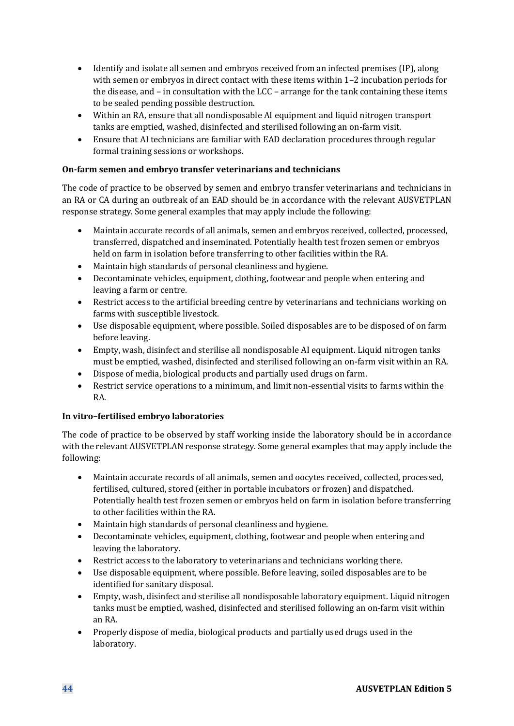- Identify and isolate all semen and embryos received from an infected premises (IP), along with semen or embryos in direct contact with these items within 1–2 incubation periods for the disease, and – in consultation with the LCC – arrange for the tank containing these items to be sealed pending possible destruction.
- Within an RA, ensure that all nondisposable AI equipment and liquid nitrogen transport tanks are emptied, washed, disinfected and sterilised following an on-farm visit.
- Ensure that AI technicians are familiar with EAD declaration procedures through regular formal training sessions or workshops.

### **On-farm semen and embryo transfer veterinarians and technicians**

The code of practice to be observed by semen and embryo transfer veterinarians and technicians in an RA or CA during an outbreak of an EAD should be in accordance with the relevant AUSVETPLAN response strategy. Some general examples that may apply include the following:

- Maintain accurate records of all animals, semen and embryos received, collected, processed, transferred, dispatched and inseminated. Potentially health test frozen semen or embryos held on farm in isolation before transferring to other facilities within the RA.
- Maintain high standards of personal cleanliness and hygiene.
- Decontaminate vehicles, equipment, clothing, footwear and people when entering and leaving a farm or centre.
- Restrict access to the artificial breeding centre by veterinarians and technicians working on farms with susceptible livestock.
- Use disposable equipment, where possible. Soiled disposables are to be disposed of on farm before leaving.
- Empty, wash, disinfect and sterilise all nondisposable AI equipment. Liquid nitrogen tanks must be emptied, washed, disinfected and sterilised following an on-farm visit within an RA.
- Dispose of media, biological products and partially used drugs on farm.
- Restrict service operations to a minimum, and limit non-essential visits to farms within the RA.

### **In vitro–fertilised embryo laboratories**

The code of practice to be observed by staff working inside the laboratory should be in accordance with the relevant AUSVETPLAN response strategy. Some general examples that may apply include the following:

- Maintain accurate records of all animals, semen and oocytes received, collected, processed, fertilised, cultured, stored (either in portable incubators or frozen) and dispatched. Potentially health test frozen semen or embryos held on farm in isolation before transferring to other facilities within the RA.
- Maintain high standards of personal cleanliness and hygiene.
- Decontaminate vehicles, equipment, clothing, footwear and people when entering and leaving the laboratory.
- Restrict access to the laboratory to veterinarians and technicians working there.
- Use disposable equipment, where possible. Before leaving, soiled disposables are to be identified for sanitary disposal.
- Empty, wash, disinfect and sterilise all nondisposable laboratory equipment. Liquid nitrogen tanks must be emptied, washed, disinfected and sterilised following an on-farm visit within an RA.
- Properly dispose of media, biological products and partially used drugs used in the laboratory.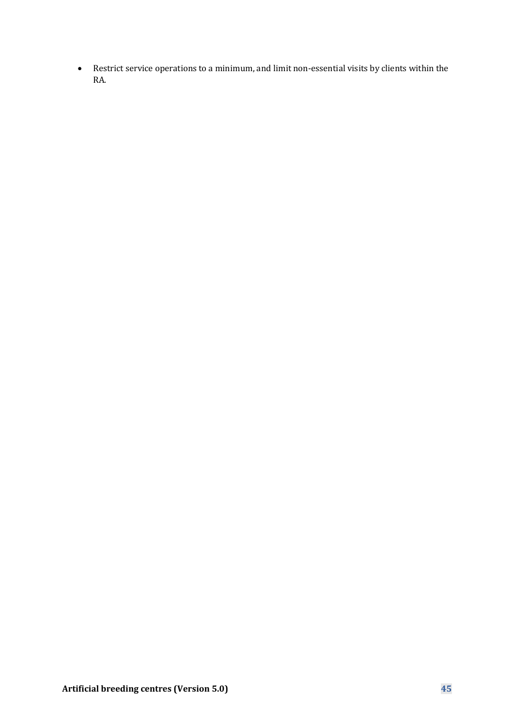• Restrict service operations to a minimum, and limit non-essential visits by clients within the RA.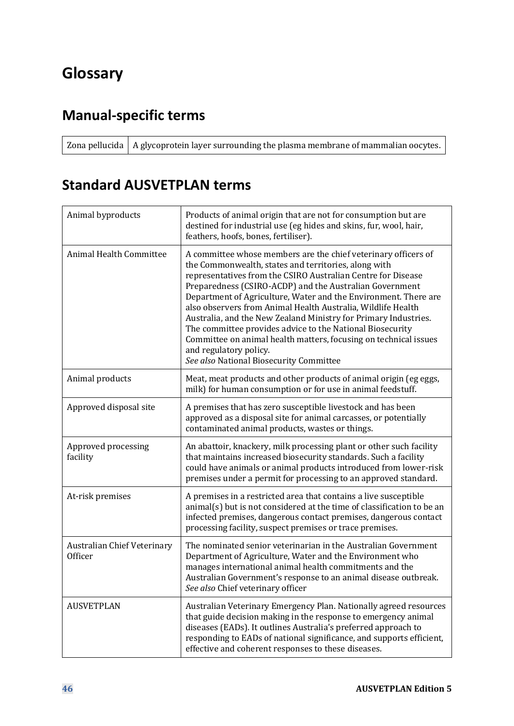# **Glossary**

## **Manual-specific terms**

Zona pellucida  $\vert$  A glycoprotein layer surrounding the plasma membrane of mammalian oocytes.

## **Standard AUSVETPLAN terms**

| Animal byproducts                             | Products of animal origin that are not for consumption but are<br>destined for industrial use (eg hides and skins, fur, wool, hair,<br>feathers, hoofs, bones, fertiliser).                                                                                                                                                                                                                                                                                                                                                                                                                                                                                   |
|-----------------------------------------------|---------------------------------------------------------------------------------------------------------------------------------------------------------------------------------------------------------------------------------------------------------------------------------------------------------------------------------------------------------------------------------------------------------------------------------------------------------------------------------------------------------------------------------------------------------------------------------------------------------------------------------------------------------------|
| <b>Animal Health Committee</b>                | A committee whose members are the chief veterinary officers of<br>the Commonwealth, states and territories, along with<br>representatives from the CSIRO Australian Centre for Disease<br>Preparedness (CSIRO-ACDP) and the Australian Government<br>Department of Agriculture, Water and the Environment. There are<br>also observers from Animal Health Australia, Wildlife Health<br>Australia, and the New Zealand Ministry for Primary Industries.<br>The committee provides advice to the National Biosecurity<br>Committee on animal health matters, focusing on technical issues<br>and regulatory policy.<br>See also National Biosecurity Committee |
| Animal products                               | Meat, meat products and other products of animal origin (eg eggs,<br>milk) for human consumption or for use in animal feedstuff.                                                                                                                                                                                                                                                                                                                                                                                                                                                                                                                              |
| Approved disposal site                        | A premises that has zero susceptible livestock and has been<br>approved as a disposal site for animal carcasses, or potentially<br>contaminated animal products, wastes or things.                                                                                                                                                                                                                                                                                                                                                                                                                                                                            |
| Approved processing<br>facility               | An abattoir, knackery, milk processing plant or other such facility<br>that maintains increased biosecurity standards. Such a facility<br>could have animals or animal products introduced from lower-risk<br>premises under a permit for processing to an approved standard.                                                                                                                                                                                                                                                                                                                                                                                 |
| At-risk premises                              | A premises in a restricted area that contains a live susceptible<br>animal(s) but is not considered at the time of classification to be an<br>infected premises, dangerous contact premises, dangerous contact<br>processing facility, suspect premises or trace premises.                                                                                                                                                                                                                                                                                                                                                                                    |
| <b>Australian Chief Veterinary</b><br>Officer | The nominated senior veterinarian in the Australian Government<br>Department of Agriculture, Water and the Environment who<br>manages international animal health commitments and the<br>Australian Government's response to an animal disease outbreak.<br>See also Chief veterinary officer                                                                                                                                                                                                                                                                                                                                                                 |
| <b>AUSVETPLAN</b>                             | Australian Veterinary Emergency Plan. Nationally agreed resources<br>that guide decision making in the response to emergency animal<br>diseases (EADs). It outlines Australia's preferred approach to<br>responding to EADs of national significance, and supports efficient,<br>effective and coherent responses to these diseases.                                                                                                                                                                                                                                                                                                                          |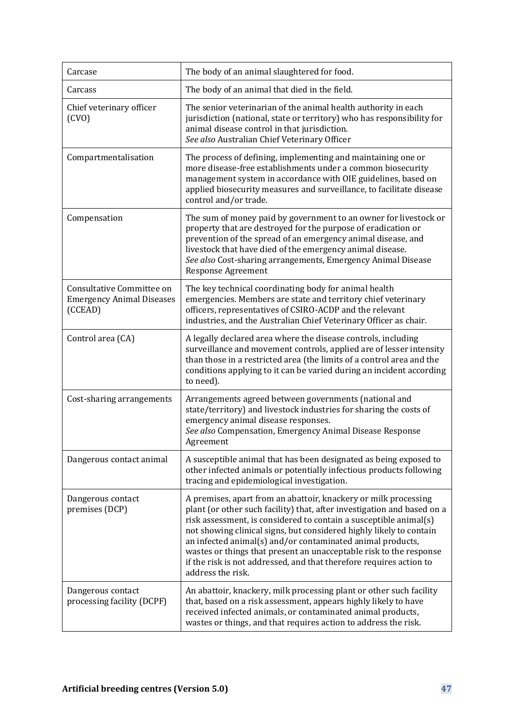| Carcase                                                                  | The body of an animal slaughtered for food.                                                                                                                                                                                                                                                                                                                                                                                                                                                                            |
|--------------------------------------------------------------------------|------------------------------------------------------------------------------------------------------------------------------------------------------------------------------------------------------------------------------------------------------------------------------------------------------------------------------------------------------------------------------------------------------------------------------------------------------------------------------------------------------------------------|
| Carcass                                                                  | The body of an animal that died in the field.                                                                                                                                                                                                                                                                                                                                                                                                                                                                          |
| Chief veterinary officer<br>(CVO)                                        | The senior veterinarian of the animal health authority in each<br>jurisdiction (national, state or territory) who has responsibility for<br>animal disease control in that jurisdiction.<br>See also Australian Chief Veterinary Officer                                                                                                                                                                                                                                                                               |
| Compartmentalisation                                                     | The process of defining, implementing and maintaining one or<br>more disease-free establishments under a common biosecurity<br>management system in accordance with OIE guidelines, based on<br>applied biosecurity measures and surveillance, to facilitate disease<br>control and/or trade.                                                                                                                                                                                                                          |
| Compensation                                                             | The sum of money paid by government to an owner for livestock or<br>property that are destroyed for the purpose of eradication or<br>prevention of the spread of an emergency animal disease, and<br>livestock that have died of the emergency animal disease.<br>See also Cost-sharing arrangements, Emergency Animal Disease<br><b>Response Agreement</b>                                                                                                                                                            |
| Consultative Committee on<br><b>Emergency Animal Diseases</b><br>(CCEAD) | The key technical coordinating body for animal health<br>emergencies. Members are state and territory chief veterinary<br>officers, representatives of CSIRO-ACDP and the relevant<br>industries, and the Australian Chief Veterinary Officer as chair.                                                                                                                                                                                                                                                                |
| Control area (CA)                                                        | A legally declared area where the disease controls, including<br>surveillance and movement controls, applied are of lesser intensity<br>than those in a restricted area (the limits of a control area and the<br>conditions applying to it can be varied during an incident according<br>to need).                                                                                                                                                                                                                     |
| Cost-sharing arrangements                                                | Arrangements agreed between governments (national and<br>state/territory) and livestock industries for sharing the costs of<br>emergency animal disease responses.<br>See also Compensation, Emergency Animal Disease Response<br>Agreement                                                                                                                                                                                                                                                                            |
| Dangerous contact animal                                                 | A susceptible animal that has been designated as being exposed to<br>other infected animals or potentially infectious products following<br>tracing and epidemiological investigation.                                                                                                                                                                                                                                                                                                                                 |
| Dangerous contact<br>premises (DCP)                                      | A premises, apart from an abattoir, knackery or milk processing<br>plant (or other such facility) that, after investigation and based on a<br>risk assessment, is considered to contain a susceptible animal(s)<br>not showing clinical signs, but considered highly likely to contain<br>an infected animal(s) and/or contaminated animal products,<br>wastes or things that present an unacceptable risk to the response<br>if the risk is not addressed, and that therefore requires action to<br>address the risk. |
| Dangerous contact<br>processing facility (DCPF)                          | An abattoir, knackery, milk processing plant or other such facility<br>that, based on a risk assessment, appears highly likely to have<br>received infected animals, or contaminated animal products,<br>wastes or things, and that requires action to address the risk.                                                                                                                                                                                                                                               |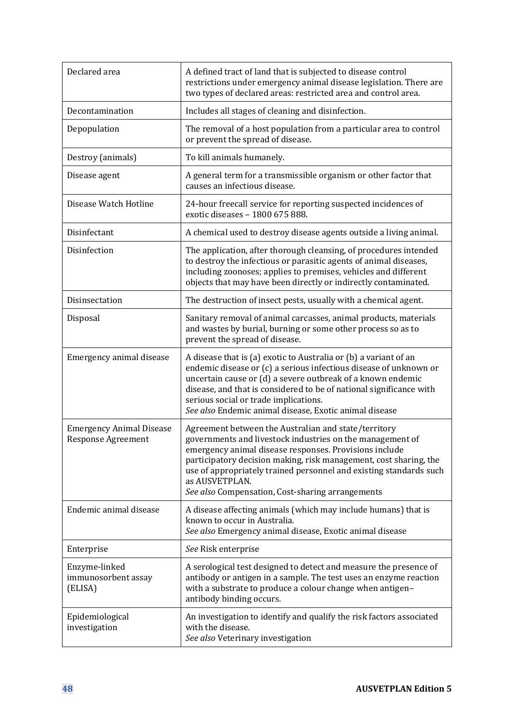| Declared area                                                | A defined tract of land that is subjected to disease control<br>restrictions under emergency animal disease legislation. There are<br>two types of declared areas: restricted area and control area.                                                                                                                                                                                         |
|--------------------------------------------------------------|----------------------------------------------------------------------------------------------------------------------------------------------------------------------------------------------------------------------------------------------------------------------------------------------------------------------------------------------------------------------------------------------|
| Decontamination                                              | Includes all stages of cleaning and disinfection.                                                                                                                                                                                                                                                                                                                                            |
| Depopulation                                                 | The removal of a host population from a particular area to control<br>or prevent the spread of disease.                                                                                                                                                                                                                                                                                      |
| Destroy (animals)                                            | To kill animals humanely.                                                                                                                                                                                                                                                                                                                                                                    |
| Disease agent                                                | A general term for a transmissible organism or other factor that<br>causes an infectious disease.                                                                                                                                                                                                                                                                                            |
| Disease Watch Hotline                                        | 24-hour freecall service for reporting suspected incidences of<br>exotic diseases - 1800 675 888.                                                                                                                                                                                                                                                                                            |
| Disinfectant                                                 | A chemical used to destroy disease agents outside a living animal.                                                                                                                                                                                                                                                                                                                           |
| Disinfection                                                 | The application, after thorough cleansing, of procedures intended<br>to destroy the infectious or parasitic agents of animal diseases,<br>including zoonoses; applies to premises, vehicles and different<br>objects that may have been directly or indirectly contaminated.                                                                                                                 |
| Disinsectation                                               | The destruction of insect pests, usually with a chemical agent.                                                                                                                                                                                                                                                                                                                              |
| Disposal                                                     | Sanitary removal of animal carcasses, animal products, materials<br>and wastes by burial, burning or some other process so as to<br>prevent the spread of disease.                                                                                                                                                                                                                           |
| Emergency animal disease                                     | A disease that is (a) exotic to Australia or (b) a variant of an<br>endemic disease or (c) a serious infectious disease of unknown or<br>uncertain cause or (d) a severe outbreak of a known endemic<br>disease, and that is considered to be of national significance with<br>serious social or trade implications.<br>See also Endemic animal disease, Exotic animal disease               |
| <b>Emergency Animal Disease</b><br><b>Response Agreement</b> | Agreement between the Australian and state/territory<br>governments and livestock industries on the management of<br>emergency animal disease responses. Provisions include<br>participatory decision making, risk management, cost sharing, the<br>use of appropriately trained personnel and existing standards such<br>as AUSVETPLAN.<br>See also Compensation, Cost-sharing arrangements |
| Endemic animal disease                                       | A disease affecting animals (which may include humans) that is<br>known to occur in Australia.<br>See also Emergency animal disease, Exotic animal disease                                                                                                                                                                                                                                   |
| Enterprise                                                   | See Risk enterprise                                                                                                                                                                                                                                                                                                                                                                          |
| Enzyme-linked<br>immunosorbent assay<br>(ELISA)              | A serological test designed to detect and measure the presence of<br>antibody or antigen in a sample. The test uses an enzyme reaction<br>with a substrate to produce a colour change when antigen-<br>antibody binding occurs.                                                                                                                                                              |
| Epidemiological<br>investigation                             | An investigation to identify and qualify the risk factors associated<br>with the disease.<br>See also Veterinary investigation                                                                                                                                                                                                                                                               |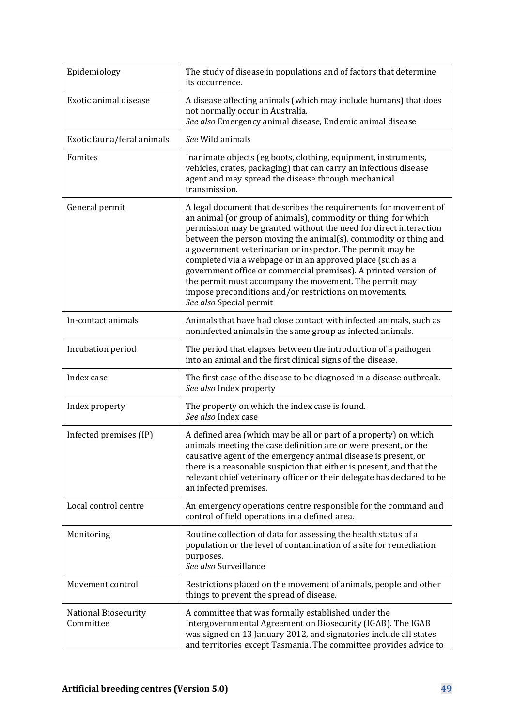| Epidemiology                      | The study of disease in populations and of factors that determine<br>its occurrence.                                                                                                                                                                                                                                                                                                                                                                                                                                                                                                                                    |
|-----------------------------------|-------------------------------------------------------------------------------------------------------------------------------------------------------------------------------------------------------------------------------------------------------------------------------------------------------------------------------------------------------------------------------------------------------------------------------------------------------------------------------------------------------------------------------------------------------------------------------------------------------------------------|
| Exotic animal disease             | A disease affecting animals (which may include humans) that does<br>not normally occur in Australia.<br>See also Emergency animal disease, Endemic animal disease                                                                                                                                                                                                                                                                                                                                                                                                                                                       |
| Exotic fauna/feral animals        | See Wild animals                                                                                                                                                                                                                                                                                                                                                                                                                                                                                                                                                                                                        |
| Fomites                           | Inanimate objects (eg boots, clothing, equipment, instruments,<br>vehicles, crates, packaging) that can carry an infectious disease<br>agent and may spread the disease through mechanical<br>transmission.                                                                                                                                                                                                                                                                                                                                                                                                             |
| General permit                    | A legal document that describes the requirements for movement of<br>an animal (or group of animals), commodity or thing, for which<br>permission may be granted without the need for direct interaction<br>between the person moving the animal(s), commodity or thing and<br>a government veterinarian or inspector. The permit may be<br>completed via a webpage or in an approved place (such as a<br>government office or commercial premises). A printed version of<br>the permit must accompany the movement. The permit may<br>impose preconditions and/or restrictions on movements.<br>See also Special permit |
| In-contact animals                | Animals that have had close contact with infected animals, such as<br>noninfected animals in the same group as infected animals.                                                                                                                                                                                                                                                                                                                                                                                                                                                                                        |
| Incubation period                 | The period that elapses between the introduction of a pathogen<br>into an animal and the first clinical signs of the disease.                                                                                                                                                                                                                                                                                                                                                                                                                                                                                           |
| Index case                        | The first case of the disease to be diagnosed in a disease outbreak.<br>See also Index property                                                                                                                                                                                                                                                                                                                                                                                                                                                                                                                         |
| Index property                    | The property on which the index case is found.<br>See also Index case                                                                                                                                                                                                                                                                                                                                                                                                                                                                                                                                                   |
| Infected premises (IP)            | A defined area (which may be all or part of a property) on which<br>animals meeting the case definition are or were present, or the<br>causative agent of the emergency animal disease is present, or<br>there is a reasonable suspicion that either is present, and that the<br>relevant chief veterinary officer or their delegate has declared to be<br>an infected premises.                                                                                                                                                                                                                                        |
| Local control centre              | An emergency operations centre responsible for the command and<br>control of field operations in a defined area.                                                                                                                                                                                                                                                                                                                                                                                                                                                                                                        |
| Monitoring                        | Routine collection of data for assessing the health status of a<br>population or the level of contamination of a site for remediation<br>purposes.<br>See also Surveillance                                                                                                                                                                                                                                                                                                                                                                                                                                             |
| Movement control                  | Restrictions placed on the movement of animals, people and other<br>things to prevent the spread of disease.                                                                                                                                                                                                                                                                                                                                                                                                                                                                                                            |
| National Biosecurity<br>Committee | A committee that was formally established under the<br>Intergovernmental Agreement on Biosecurity (IGAB). The IGAB<br>was signed on 13 January 2012, and signatories include all states<br>and territories except Tasmania. The committee provides advice to                                                                                                                                                                                                                                                                                                                                                            |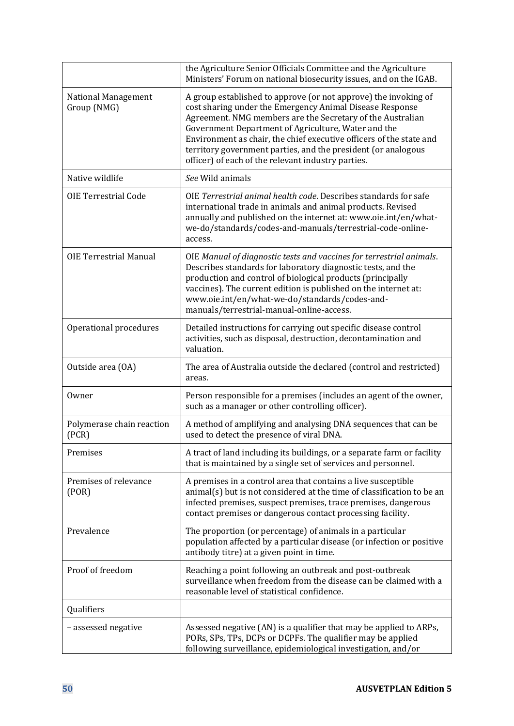|                                    | the Agriculture Senior Officials Committee and the Agriculture<br>Ministers' Forum on national biosecurity issues, and on the IGAB.                                                                                                                                                                                                                                                                                                            |
|------------------------------------|------------------------------------------------------------------------------------------------------------------------------------------------------------------------------------------------------------------------------------------------------------------------------------------------------------------------------------------------------------------------------------------------------------------------------------------------|
| National Management<br>Group (NMG) | A group established to approve (or not approve) the invoking of<br>cost sharing under the Emergency Animal Disease Response<br>Agreement. NMG members are the Secretary of the Australian<br>Government Department of Agriculture, Water and the<br>Environment as chair, the chief executive officers of the state and<br>territory government parties, and the president (or analogous<br>officer) of each of the relevant industry parties. |
| Native wildlife                    | See Wild animals                                                                                                                                                                                                                                                                                                                                                                                                                               |
| <b>OIE Terrestrial Code</b>        | OIE Terrestrial animal health code. Describes standards for safe<br>international trade in animals and animal products. Revised<br>annually and published on the internet at: www.oie.int/en/what-<br>we-do/standards/codes-and-manuals/terrestrial-code-online-<br>access.                                                                                                                                                                    |
| <b>OIE Terrestrial Manual</b>      | OIE Manual of diagnostic tests and vaccines for terrestrial animals.<br>Describes standards for laboratory diagnostic tests, and the<br>production and control of biological products (principally<br>vaccines). The current edition is published on the internet at:<br>www.oie.int/en/what-we-do/standards/codes-and-<br>manuals/terrestrial-manual-online-access.                                                                           |
| Operational procedures             | Detailed instructions for carrying out specific disease control<br>activities, such as disposal, destruction, decontamination and<br>valuation.                                                                                                                                                                                                                                                                                                |
| Outside area (OA)                  | The area of Australia outside the declared (control and restricted)<br>areas.                                                                                                                                                                                                                                                                                                                                                                  |
| Owner                              | Person responsible for a premises (includes an agent of the owner,<br>such as a manager or other controlling officer).                                                                                                                                                                                                                                                                                                                         |
| Polymerase chain reaction<br>(PCR) | A method of amplifying and analysing DNA sequences that can be<br>used to detect the presence of viral DNA.                                                                                                                                                                                                                                                                                                                                    |
| Premises                           | A tract of land including its buildings, or a separate farm or facility<br>that is maintained by a single set of services and personnel.                                                                                                                                                                                                                                                                                                       |
| Premises of relevance<br>( POR)    | A premises in a control area that contains a live susceptible<br>animal(s) but is not considered at the time of classification to be an<br>infected premises, suspect premises, trace premises, dangerous<br>contact premises or dangerous contact processing facility.                                                                                                                                                                        |
| Prevalence                         | The proportion (or percentage) of animals in a particular<br>population affected by a particular disease (or infection or positive<br>antibody titre) at a given point in time.                                                                                                                                                                                                                                                                |
| Proof of freedom                   | Reaching a point following an outbreak and post-outbreak<br>surveillance when freedom from the disease can be claimed with a<br>reasonable level of statistical confidence.                                                                                                                                                                                                                                                                    |
| Qualifiers                         |                                                                                                                                                                                                                                                                                                                                                                                                                                                |
| - assessed negative                | Assessed negative (AN) is a qualifier that may be applied to ARPs,<br>PORs, SPs, TPs, DCPs or DCPFs. The qualifier may be applied<br>following surveillance, epidemiological investigation, and/or                                                                                                                                                                                                                                             |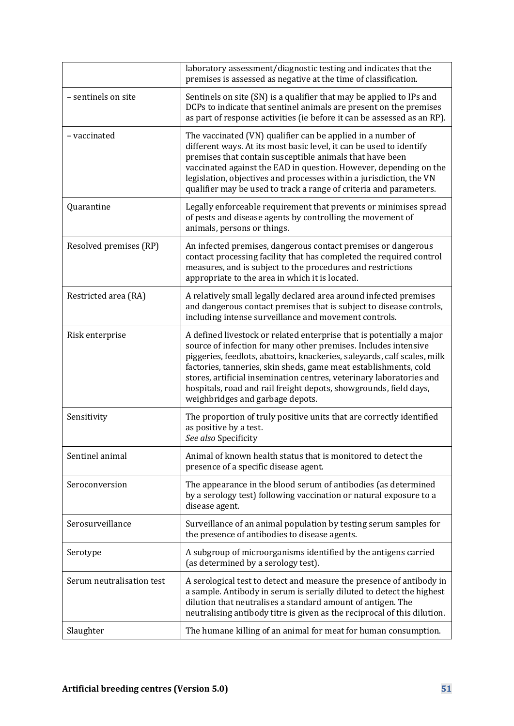|                           | laboratory assessment/diagnostic testing and indicates that the<br>premises is assessed as negative at the time of classification.                                                                                                                                                                                                                                                                                                                                        |
|---------------------------|---------------------------------------------------------------------------------------------------------------------------------------------------------------------------------------------------------------------------------------------------------------------------------------------------------------------------------------------------------------------------------------------------------------------------------------------------------------------------|
| - sentinels on site       | Sentinels on site (SN) is a qualifier that may be applied to IPs and<br>DCPs to indicate that sentinel animals are present on the premises<br>as part of response activities (ie before it can be assessed as an RP).                                                                                                                                                                                                                                                     |
| - vaccinated              | The vaccinated (VN) qualifier can be applied in a number of<br>different ways. At its most basic level, it can be used to identify<br>premises that contain susceptible animals that have been<br>vaccinated against the EAD in question. However, depending on the<br>legislation, objectives and processes within a jurisdiction, the VN<br>qualifier may be used to track a range of criteria and parameters.                                                          |
| Quarantine                | Legally enforceable requirement that prevents or minimises spread<br>of pests and disease agents by controlling the movement of<br>animals, persons or things.                                                                                                                                                                                                                                                                                                            |
| Resolved premises (RP)    | An infected premises, dangerous contact premises or dangerous<br>contact processing facility that has completed the required control<br>measures, and is subject to the procedures and restrictions<br>appropriate to the area in which it is located.                                                                                                                                                                                                                    |
| Restricted area (RA)      | A relatively small legally declared area around infected premises<br>and dangerous contact premises that is subject to disease controls,<br>including intense surveillance and movement controls.                                                                                                                                                                                                                                                                         |
| Risk enterprise           | A defined livestock or related enterprise that is potentially a major<br>source of infection for many other premises. Includes intensive<br>piggeries, feedlots, abattoirs, knackeries, saleyards, calf scales, milk<br>factories, tanneries, skin sheds, game meat establishments, cold<br>stores, artificial insemination centres, veterinary laboratories and<br>hospitals, road and rail freight depots, showgrounds, field days,<br>weighbridges and garbage depots. |
| Sensitivity               | The proportion of truly positive units that are correctly identified<br>as positive by a test.<br>See also Specificity                                                                                                                                                                                                                                                                                                                                                    |
| Sentinel animal           | Animal of known health status that is monitored to detect the<br>presence of a specific disease agent.                                                                                                                                                                                                                                                                                                                                                                    |
| Seroconversion            | The appearance in the blood serum of antibodies (as determined<br>by a serology test) following vaccination or natural exposure to a<br>disease agent.                                                                                                                                                                                                                                                                                                                    |
| Serosurveillance          | Surveillance of an animal population by testing serum samples for<br>the presence of antibodies to disease agents.                                                                                                                                                                                                                                                                                                                                                        |
| Serotype                  | A subgroup of microorganisms identified by the antigens carried<br>(as determined by a serology test).                                                                                                                                                                                                                                                                                                                                                                    |
| Serum neutralisation test | A serological test to detect and measure the presence of antibody in<br>a sample. Antibody in serum is serially diluted to detect the highest<br>dilution that neutralises a standard amount of antigen. The<br>neutralising antibody titre is given as the reciprocal of this dilution.                                                                                                                                                                                  |
| Slaughter                 | The humane killing of an animal for meat for human consumption.                                                                                                                                                                                                                                                                                                                                                                                                           |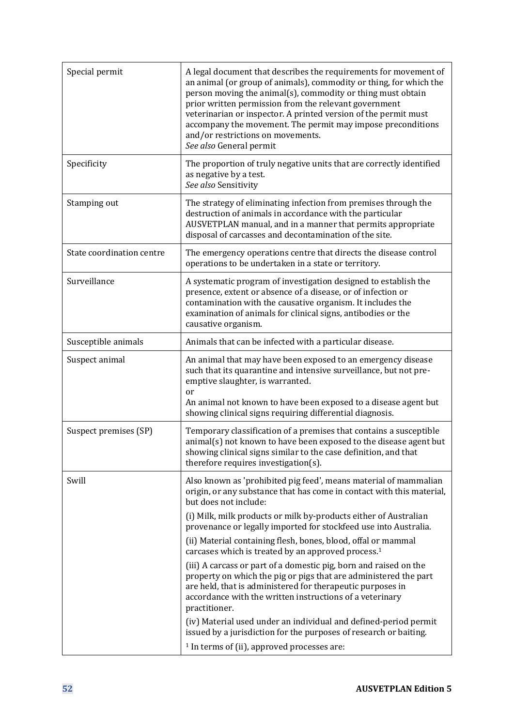| Special permit            | A legal document that describes the requirements for movement of<br>an animal (or group of animals), commodity or thing, for which the<br>person moving the animal(s), commodity or thing must obtain<br>prior written permission from the relevant government<br>veterinarian or inspector. A printed version of the permit must<br>accompany the movement. The permit may impose preconditions<br>and/or restrictions on movements.<br>See also General permit                                                                                                                                                                                                                                                                                                                                                                                                                                                                     |
|---------------------------|--------------------------------------------------------------------------------------------------------------------------------------------------------------------------------------------------------------------------------------------------------------------------------------------------------------------------------------------------------------------------------------------------------------------------------------------------------------------------------------------------------------------------------------------------------------------------------------------------------------------------------------------------------------------------------------------------------------------------------------------------------------------------------------------------------------------------------------------------------------------------------------------------------------------------------------|
| Specificity               | The proportion of truly negative units that are correctly identified<br>as negative by a test.<br>See also Sensitivity                                                                                                                                                                                                                                                                                                                                                                                                                                                                                                                                                                                                                                                                                                                                                                                                               |
| Stamping out              | The strategy of eliminating infection from premises through the<br>destruction of animals in accordance with the particular<br>AUSVETPLAN manual, and in a manner that permits appropriate<br>disposal of carcasses and decontamination of the site.                                                                                                                                                                                                                                                                                                                                                                                                                                                                                                                                                                                                                                                                                 |
| State coordination centre | The emergency operations centre that directs the disease control<br>operations to be undertaken in a state or territory.                                                                                                                                                                                                                                                                                                                                                                                                                                                                                                                                                                                                                                                                                                                                                                                                             |
| Surveillance              | A systematic program of investigation designed to establish the<br>presence, extent or absence of a disease, or of infection or<br>contamination with the causative organism. It includes the<br>examination of animals for clinical signs, antibodies or the<br>causative organism.                                                                                                                                                                                                                                                                                                                                                                                                                                                                                                                                                                                                                                                 |
| Susceptible animals       | Animals that can be infected with a particular disease.                                                                                                                                                                                                                                                                                                                                                                                                                                                                                                                                                                                                                                                                                                                                                                                                                                                                              |
| Suspect animal            | An animal that may have been exposed to an emergency disease<br>such that its quarantine and intensive surveillance, but not pre-<br>emptive slaughter, is warranted.<br>or<br>An animal not known to have been exposed to a disease agent but<br>showing clinical signs requiring differential diagnosis.                                                                                                                                                                                                                                                                                                                                                                                                                                                                                                                                                                                                                           |
| Suspect premises (SP)     | Temporary classification of a premises that contains a susceptible<br>animal(s) not known to have been exposed to the disease agent but<br>showing clinical signs similar to the case definition, and that<br>therefore requires investigation(s).                                                                                                                                                                                                                                                                                                                                                                                                                                                                                                                                                                                                                                                                                   |
| Swill                     | Also known as 'prohibited pig feed', means material of mammalian<br>origin, or any substance that has come in contact with this material,<br>but does not include:<br>(i) Milk, milk products or milk by-products either of Australian<br>provenance or legally imported for stockfeed use into Australia.<br>(ii) Material containing flesh, bones, blood, offal or mammal<br>carcases which is treated by an approved process. <sup>1</sup><br>(iii) A carcass or part of a domestic pig, born and raised on the<br>property on which the pig or pigs that are administered the part<br>are held, that is administered for therapeutic purposes in<br>accordance with the written instructions of a veterinary<br>practitioner.<br>(iv) Material used under an individual and defined-period permit<br>issued by a jurisdiction for the purposes of research or baiting.<br><sup>1</sup> In terms of (ii), approved processes are: |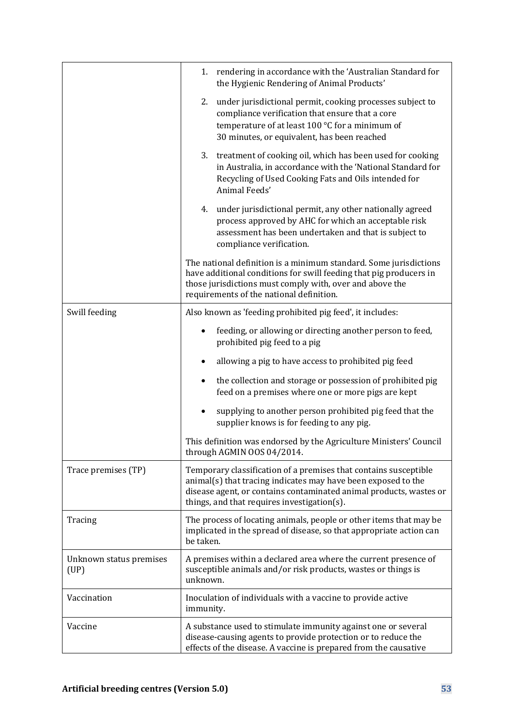|                                 | 1. rendering in accordance with the 'Australian Standard for<br>the Hygienic Rendering of Animal Products'                                                                                                                                             |
|---------------------------------|--------------------------------------------------------------------------------------------------------------------------------------------------------------------------------------------------------------------------------------------------------|
|                                 | under jurisdictional permit, cooking processes subject to<br>2.<br>compliance verification that ensure that a core<br>temperature of at least 100 °C for a minimum of<br>30 minutes, or equivalent, has been reached                                   |
|                                 | 3. treatment of cooking oil, which has been used for cooking<br>in Australia, in accordance with the 'National Standard for<br>Recycling of Used Cooking Fats and Oils intended for<br>Animal Feeds'                                                   |
|                                 | under jurisdictional permit, any other nationally agreed<br>4.<br>process approved by AHC for which an acceptable risk<br>assessment has been undertaken and that is subject to<br>compliance verification.                                            |
|                                 | The national definition is a minimum standard. Some jurisdictions<br>have additional conditions for swill feeding that pig producers in<br>those jurisdictions must comply with, over and above the<br>requirements of the national definition.        |
| Swill feeding                   | Also known as 'feeding prohibited pig feed', it includes:                                                                                                                                                                                              |
|                                 | feeding, or allowing or directing another person to feed,<br>prohibited pig feed to a pig                                                                                                                                                              |
|                                 | allowing a pig to have access to prohibited pig feed                                                                                                                                                                                                   |
|                                 | the collection and storage or possession of prohibited pig<br>feed on a premises where one or more pigs are kept                                                                                                                                       |
|                                 | supplying to another person prohibited pig feed that the<br>supplier knows is for feeding to any pig.                                                                                                                                                  |
|                                 | This definition was endorsed by the Agriculture Ministers' Council<br>through AGMIN OOS 04/2014.                                                                                                                                                       |
| Trace premises (TP)             | Temporary classification of a premises that contains susceptible<br>animal(s) that tracing indicates may have been exposed to the<br>disease agent, or contains contaminated animal products, wastes or<br>things, and that requires investigation(s). |
| Tracing                         | The process of locating animals, people or other items that may be<br>implicated in the spread of disease, so that appropriate action can<br>be taken.                                                                                                 |
| Unknown status premises<br>(UP) | A premises within a declared area where the current presence of<br>susceptible animals and/or risk products, wastes or things is<br>unknown.                                                                                                           |
| Vaccination                     | Inoculation of individuals with a vaccine to provide active<br>immunity.                                                                                                                                                                               |
| Vaccine                         | A substance used to stimulate immunity against one or several<br>disease-causing agents to provide protection or to reduce the<br>effects of the disease. A vaccine is prepared from the causative                                                     |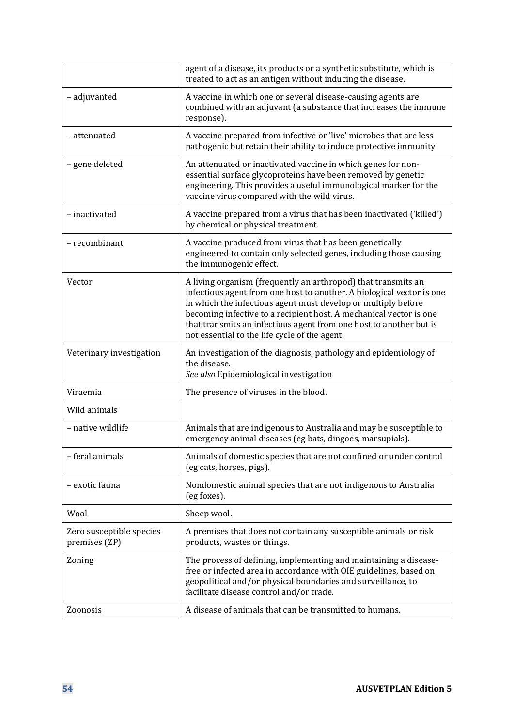|                                           | agent of a disease, its products or a synthetic substitute, which is<br>treated to act as an antigen without inducing the disease.                                                                                                                                                                                                                                                                   |
|-------------------------------------------|------------------------------------------------------------------------------------------------------------------------------------------------------------------------------------------------------------------------------------------------------------------------------------------------------------------------------------------------------------------------------------------------------|
| - adjuvanted                              | A vaccine in which one or several disease-causing agents are<br>combined with an adjuvant (a substance that increases the immune<br>response).                                                                                                                                                                                                                                                       |
| - attenuated                              | A vaccine prepared from infective or 'live' microbes that are less<br>pathogenic but retain their ability to induce protective immunity.                                                                                                                                                                                                                                                             |
| - gene deleted                            | An attenuated or inactivated vaccine in which genes for non-<br>essential surface glycoproteins have been removed by genetic<br>engineering. This provides a useful immunological marker for the<br>vaccine virus compared with the wild virus.                                                                                                                                                      |
| - inactivated                             | A vaccine prepared from a virus that has been inactivated ('killed')<br>by chemical or physical treatment.                                                                                                                                                                                                                                                                                           |
| - recombinant                             | A vaccine produced from virus that has been genetically<br>engineered to contain only selected genes, including those causing<br>the immunogenic effect.                                                                                                                                                                                                                                             |
| Vector                                    | A living organism (frequently an arthropod) that transmits an<br>infectious agent from one host to another. A biological vector is one<br>in which the infectious agent must develop or multiply before<br>becoming infective to a recipient host. A mechanical vector is one<br>that transmits an infectious agent from one host to another but is<br>not essential to the life cycle of the agent. |
| Veterinary investigation                  | An investigation of the diagnosis, pathology and epidemiology of<br>the disease.<br>See also Epidemiological investigation                                                                                                                                                                                                                                                                           |
| Viraemia                                  | The presence of viruses in the blood.                                                                                                                                                                                                                                                                                                                                                                |
| Wild animals                              |                                                                                                                                                                                                                                                                                                                                                                                                      |
| – native wildlife                         | Animals that are indigenous to Australia and may be susceptible to<br>emergency animal diseases (eg bats, dingoes, marsupials).                                                                                                                                                                                                                                                                      |
| - feral animals                           | Animals of domestic species that are not confined or under control<br>(eg cats, horses, pigs).                                                                                                                                                                                                                                                                                                       |
| - exotic fauna                            | Nondomestic animal species that are not indigenous to Australia<br>(eg foxes).                                                                                                                                                                                                                                                                                                                       |
| Wool                                      | Sheep wool.                                                                                                                                                                                                                                                                                                                                                                                          |
| Zero susceptible species<br>premises (ZP) | A premises that does not contain any susceptible animals or risk<br>products, wastes or things.                                                                                                                                                                                                                                                                                                      |
| Zoning                                    | The process of defining, implementing and maintaining a disease-<br>free or infected area in accordance with OIE guidelines, based on<br>geopolitical and/or physical boundaries and surveillance, to<br>facilitate disease control and/or trade.                                                                                                                                                    |
| Zoonosis                                  | A disease of animals that can be transmitted to humans.                                                                                                                                                                                                                                                                                                                                              |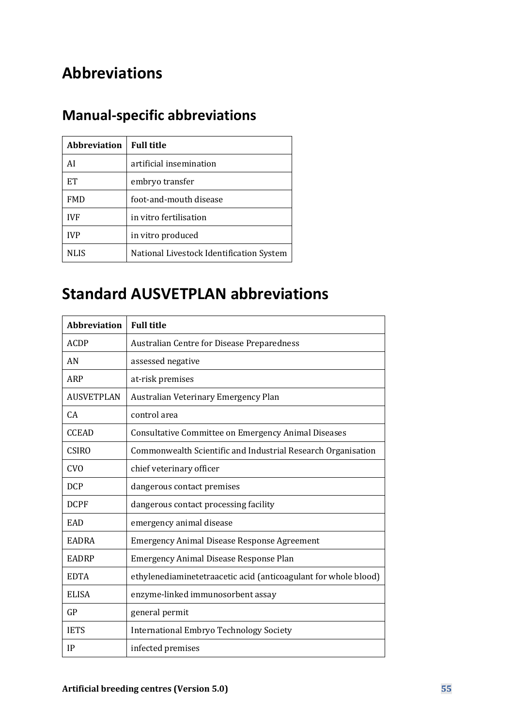# **Abbreviations**

# **Manual-specific abbreviations**

| <b>Abbreviation</b>   Full title |                                          |
|----------------------------------|------------------------------------------|
| ΑI                               | artificial insemination                  |
| EТ                               | embryo transfer                          |
| <b>FMD</b>                       | foot-and-mouth disease                   |
| <b>IVF</b>                       | in vitro fertilisation                   |
| <b>IVP</b>                       | in vitro produced                        |
| NLIS                             | National Livestock Identification System |

# **Standard AUSVETPLAN abbreviations**

| <b>Abbreviation</b> | <b>Full title</b>                                               |
|---------------------|-----------------------------------------------------------------|
| <b>ACDP</b>         | <b>Australian Centre for Disease Preparedness</b>               |
| AN                  | assessed negative                                               |
| ARP                 | at-risk premises                                                |
| <b>AUSVETPLAN</b>   | Australian Veterinary Emergency Plan                            |
| CA                  | control area                                                    |
| <b>CCEAD</b>        | Consultative Committee on Emergency Animal Diseases             |
| <b>CSIRO</b>        | Commonwealth Scientific and Industrial Research Organisation    |
| <b>CVO</b>          | chief veterinary officer                                        |
| <b>DCP</b>          | dangerous contact premises                                      |
| <b>DCPF</b>         | dangerous contact processing facility                           |
| EAD                 | emergency animal disease                                        |
| EADRA               | <b>Emergency Animal Disease Response Agreement</b>              |
| <b>EADRP</b>        | <b>Emergency Animal Disease Response Plan</b>                   |
| <b>EDTA</b>         | ethylenediaminetetraacetic acid (anticoagulant for whole blood) |
| <b>ELISA</b>        | enzyme-linked immunosorbent assay                               |
| GP                  | general permit                                                  |
| <b>IETS</b>         | International Embryo Technology Society                         |
| IP                  | infected premises                                               |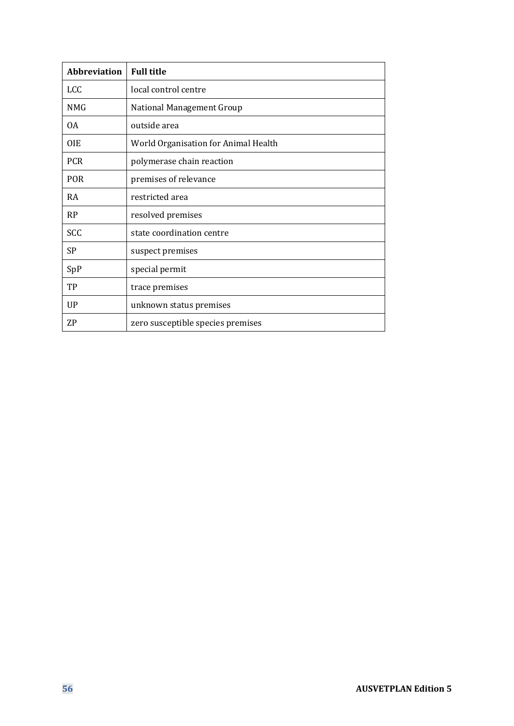| <b>Abbreviation</b> | <b>Full title</b>                    |
|---------------------|--------------------------------------|
| <b>LCC</b>          | local control centre                 |
| <b>NMG</b>          | <b>National Management Group</b>     |
| 0A                  | outside area                         |
| <b>OIE</b>          | World Organisation for Animal Health |
| <b>PCR</b>          | polymerase chain reaction            |
| <b>POR</b>          | premises of relevance                |
| <b>RA</b>           | restricted area                      |
| <b>RP</b>           | resolved premises                    |
| <b>SCC</b>          | state coordination centre            |
| <b>SP</b>           | suspect premises                     |
| SpP                 | special permit                       |
| TP                  | trace premises                       |
| <b>UP</b>           | unknown status premises              |
| <b>ZP</b>           | zero susceptible species premises    |